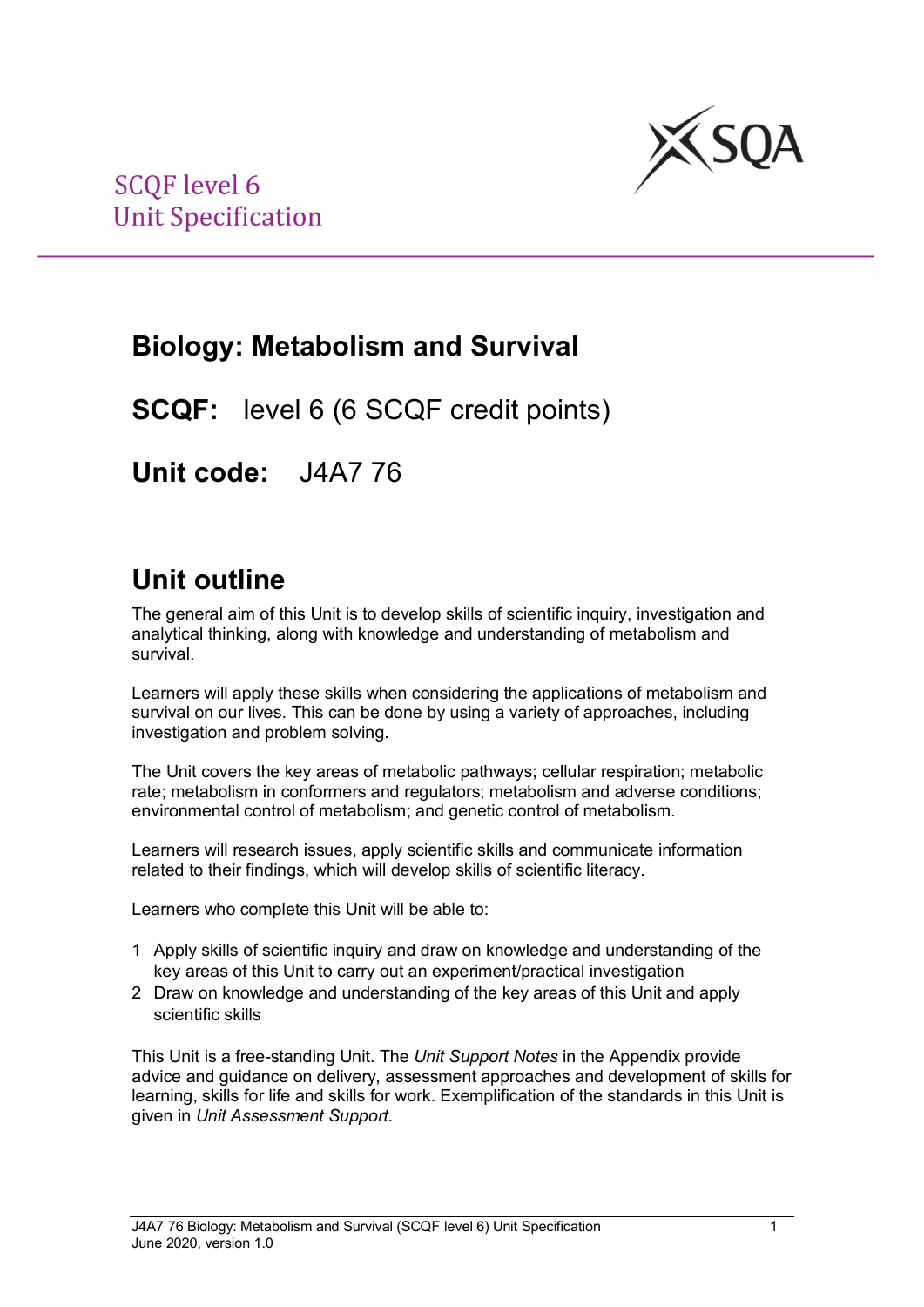

## **Biology: Metabolism and Survival**

**SCQF:** level 6 (6 SCQF credit points)

**Unit code:** J4A7 76

## **Unit outline**

The general aim of this Unit is to develop skills of scientific inquiry, investigation and analytical thinking, along with knowledge and understanding of metabolism and survival.

Learners will apply these skills when considering the applications of metabolism and survival on our lives. This can be done by using a variety of approaches, including investigation and problem solving.

The Unit covers the key areas of metabolic pathways; cellular respiration; metabolic rate; metabolism in conformers and regulators; metabolism and adverse conditions; environmental control of metabolism; and genetic control of metabolism.

Learners will research issues, apply scientific skills and communicate information related to their findings, which will develop skills of scientific literacy.

Learners who complete this Unit will be able to:

- 1 Apply skills of scientific inquiry and draw on knowledge and understanding of the key areas of this Unit to carry out an experiment/practical investigation
- 2 Draw on knowledge and understanding of the key areas of this Unit and apply scientific skills

This Unit is a free-standing Unit. The *Unit Support Notes* in the Appendix provide advice and guidance on delivery, assessment approaches and development of skills for learning, skills for life and skills for work. Exemplification of the standards in this Unit is given in *Unit Assessment Support*.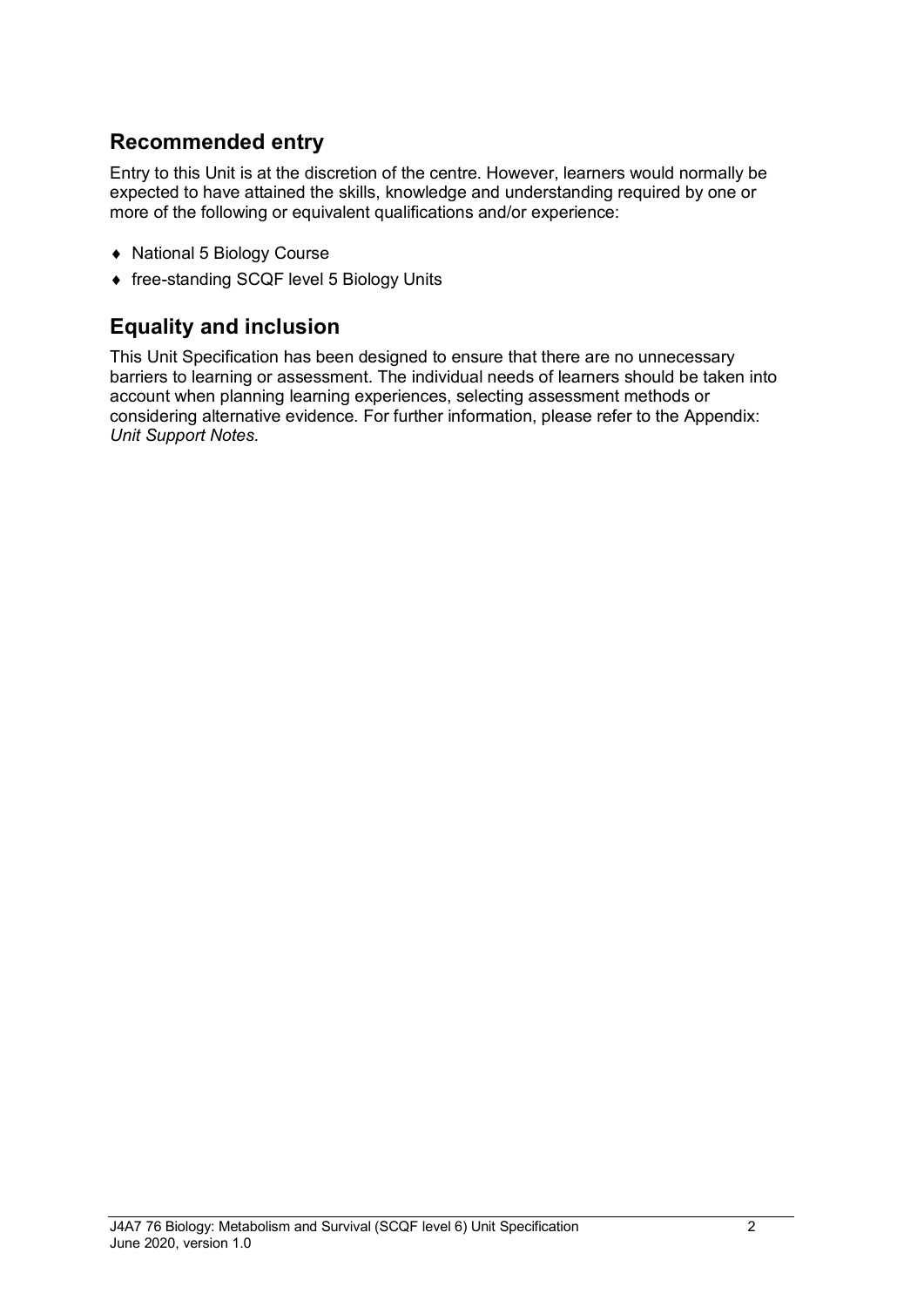### **Recommended entry**

Entry to this Unit is at the discretion of the centre. However, learners would normally be expected to have attained the skills, knowledge and understanding required by one or more of the following or equivalent qualifications and/or experience:

- ♦ National 5 Biology Course
- ♦ free-standing SCQF level 5 Biology Units

### **Equality and inclusion**

This Unit Specification has been designed to ensure that there are no unnecessary barriers to learning or assessment. The individual needs of learners should be taken into account when planning learning experiences, selecting assessment methods or considering alternative evidence. For further information, please refer to the Appendix: *Unit Support Notes.*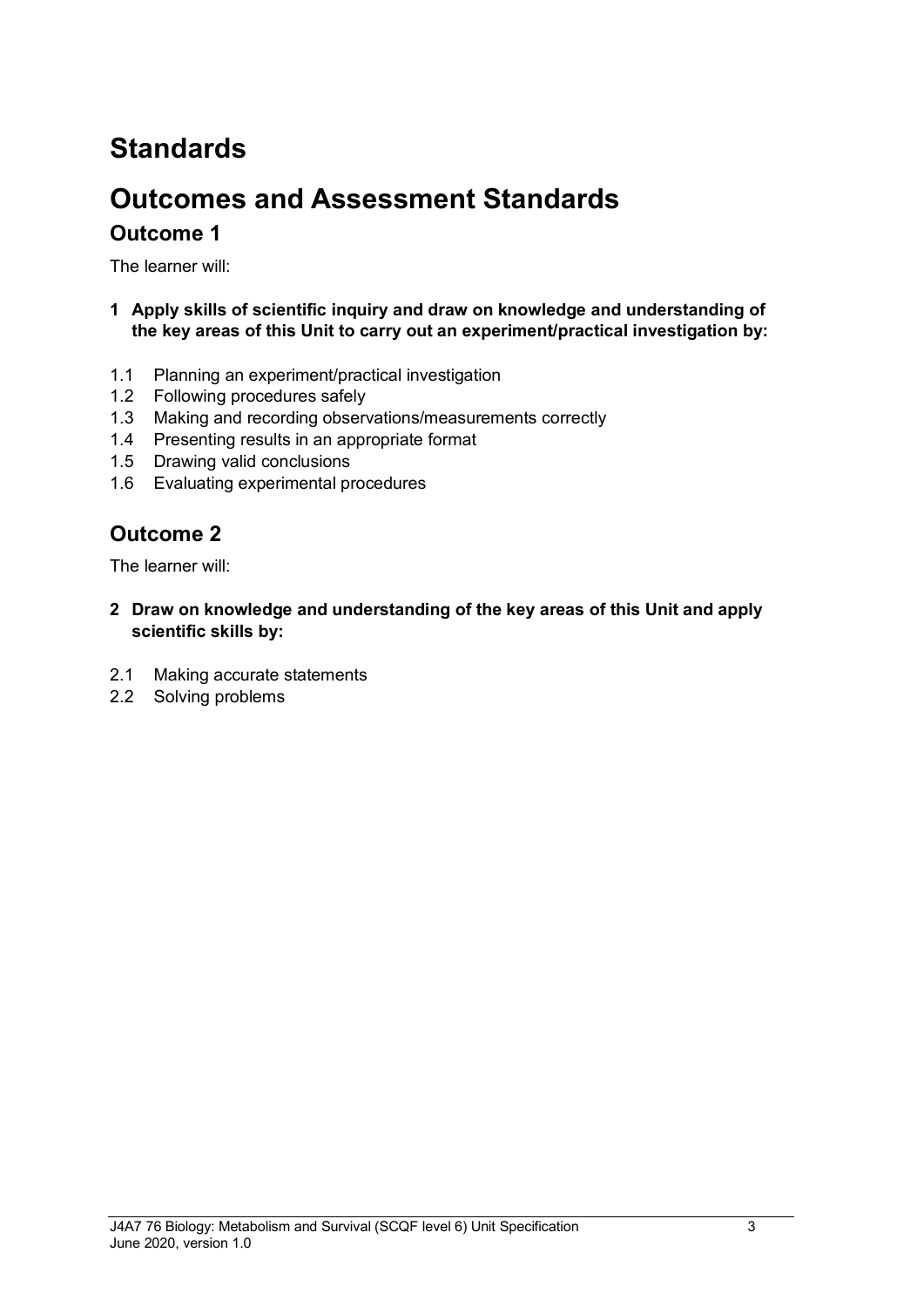# **Standards**

## **Outcomes and Assessment Standards Outcome 1**

The learner will:

- **1 Apply skills of scientific inquiry and draw on knowledge and understanding of the key areas of this Unit to carry out an experiment/practical investigation by:**
- 1.1 Planning an experiment/practical investigation
- 1.2 Following procedures safely
- 1.3 Making and recording observations/measurements correctly
- 1.4 Presenting results in an appropriate format
- 1.5 Drawing valid conclusions
- 1.6 Evaluating experimental procedures

### **Outcome 2**

The learner will:

- **2 Draw on knowledge and understanding of the key areas of this Unit and apply scientific skills by:**
- 2.1 Making accurate statements
- 2.2 Solving problems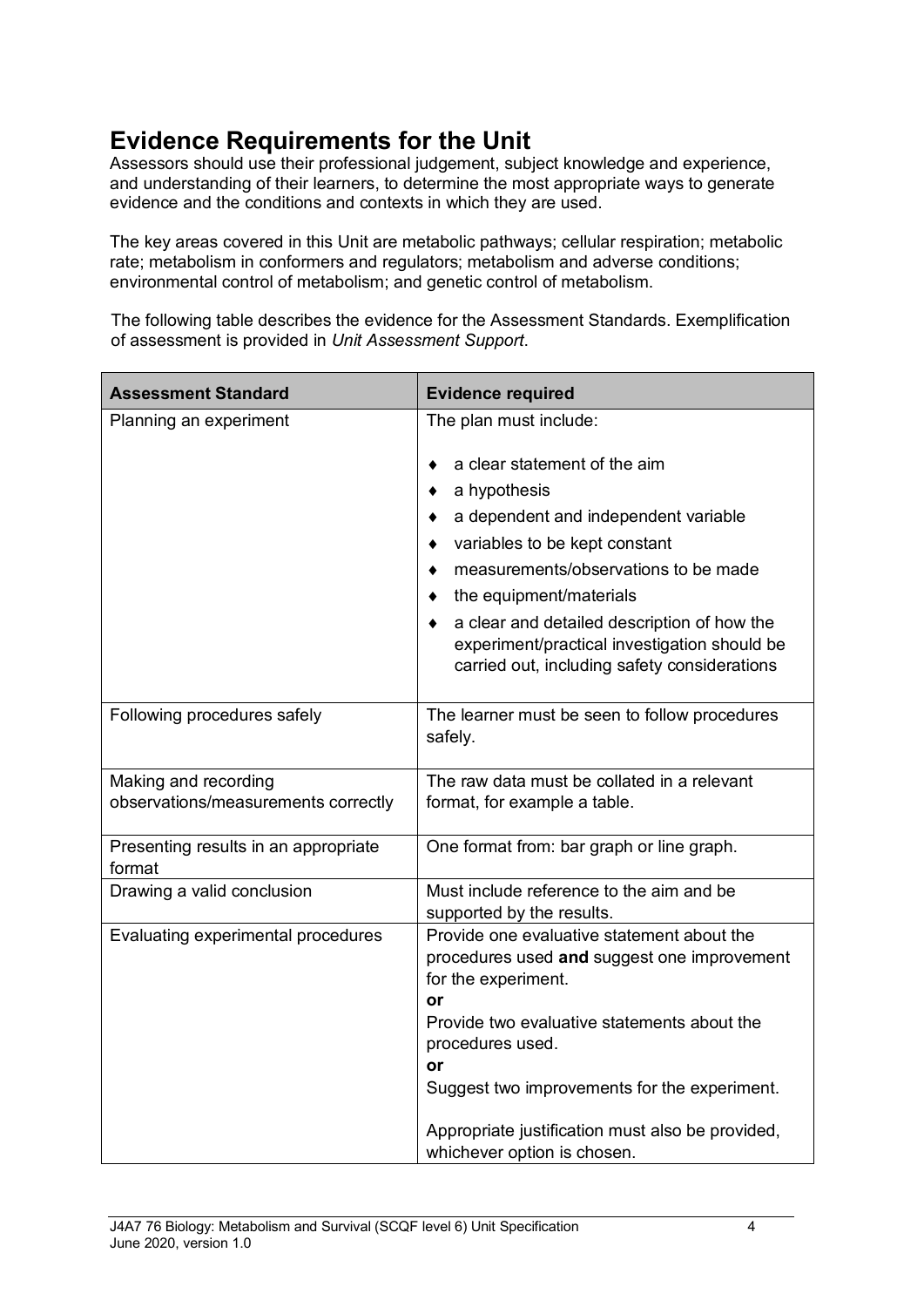## **Evidence Requirements for the Unit**

Assessors should use their professional judgement, subject knowledge and experience, and understanding of their learners, to determine the most appropriate ways to generate evidence and the conditions and contexts in which they are used.

The key areas covered in this Unit are metabolic pathways; cellular respiration; metabolic rate; metabolism in conformers and regulators; metabolism and adverse conditions; environmental control of metabolism; and genetic control of metabolism.

The following table describes the evidence for the Assessment Standards. Exemplification of assessment is provided in *Unit Assessment Support*.

| <b>Assessment Standard</b>                                  | <b>Evidence required</b>                                                                                                                                                                                                                                                                                                                |
|-------------------------------------------------------------|-----------------------------------------------------------------------------------------------------------------------------------------------------------------------------------------------------------------------------------------------------------------------------------------------------------------------------------------|
| Planning an experiment                                      | The plan must include:                                                                                                                                                                                                                                                                                                                  |
|                                                             | a clear statement of the aim<br>a hypothesis<br>a dependent and independent variable<br>variables to be kept constant<br>measurements/observations to be made<br>the equipment/materials<br>a clear and detailed description of how the<br>experiment/practical investigation should be<br>carried out, including safety considerations |
| Following procedures safely                                 | The learner must be seen to follow procedures<br>safely.                                                                                                                                                                                                                                                                                |
| Making and recording<br>observations/measurements correctly | The raw data must be collated in a relevant<br>format, for example a table.                                                                                                                                                                                                                                                             |
| Presenting results in an appropriate<br>format              | One format from: bar graph or line graph.                                                                                                                                                                                                                                                                                               |
| Drawing a valid conclusion                                  | Must include reference to the aim and be<br>supported by the results.                                                                                                                                                                                                                                                                   |
| Evaluating experimental procedures                          | Provide one evaluative statement about the<br>procedures used and suggest one improvement<br>for the experiment.<br>or<br>Provide two evaluative statements about the<br>procedures used.<br>or<br>Suggest two improvements for the experiment.                                                                                         |
|                                                             | Appropriate justification must also be provided,<br>whichever option is chosen.                                                                                                                                                                                                                                                         |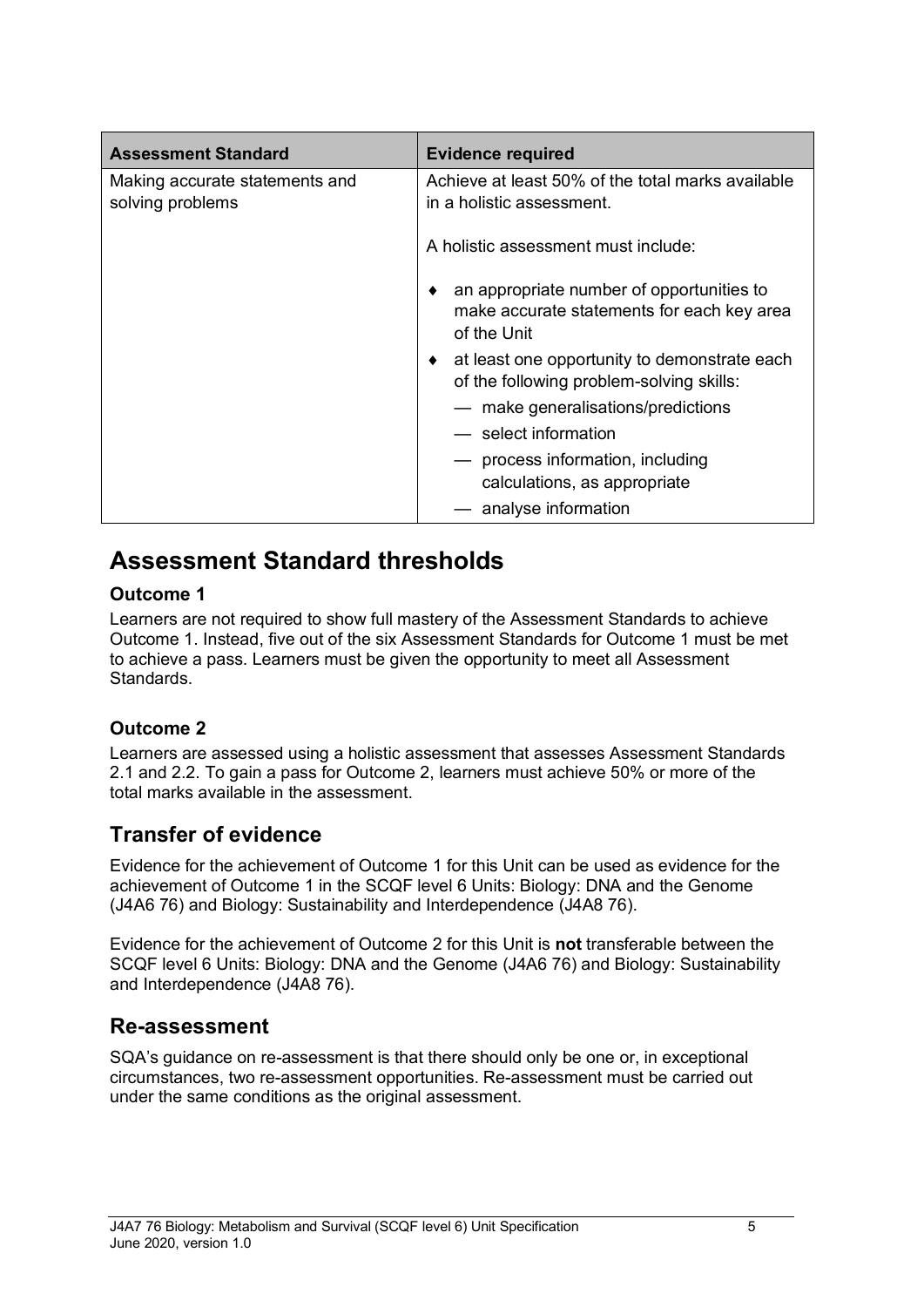| <b>Assessment Standard</b>                         | <b>Evidence required</b>                                                                                    |  |
|----------------------------------------------------|-------------------------------------------------------------------------------------------------------------|--|
| Making accurate statements and<br>solving problems | Achieve at least 50% of the total marks available<br>in a holistic assessment.                              |  |
|                                                    | A holistic assessment must include:                                                                         |  |
|                                                    | an appropriate number of opportunities to<br>٠<br>make accurate statements for each key area<br>of the Unit |  |
|                                                    | at least one opportunity to demonstrate each<br>of the following problem-solving skills:                    |  |
|                                                    | - make generalisations/predictions                                                                          |  |
|                                                    | — select information                                                                                        |  |
|                                                    | process information, including<br>calculations, as appropriate                                              |  |
|                                                    | - analyse information                                                                                       |  |

### **Assessment Standard thresholds**

#### **Outcome 1**

Learners are not required to show full mastery of the Assessment Standards to achieve Outcome 1. Instead, five out of the six Assessment Standards for Outcome 1 must be met to achieve a pass. Learners must be given the opportunity to meet all Assessment Standards.

### **Outcome 2**

Learners are assessed using a holistic assessment that assesses Assessment Standards 2.1 and 2.2. To gain a pass for Outcome 2, learners must achieve 50% or more of the total marks available in the assessment.

### **Transfer of evidence**

Evidence for the achievement of Outcome 1 for this Unit can be used as evidence for the achievement of Outcome 1 in the SCQF level 6 Units: Biology: DNA and the Genome (J4A6 76) and Biology: Sustainability and Interdependence (J4A8 76).

Evidence for the achievement of Outcome 2 for this Unit is **not** transferable between the SCQF level 6 Units: Biology: DNA and the Genome (J4A6 76) and Biology: Sustainability and Interdependence (J4A8 76).

### **Re-assessment**

SQA's guidance on re-assessment is that there should only be one or, in exceptional circumstances, two re-assessment opportunities. Re-assessment must be carried out under the same conditions as the original assessment.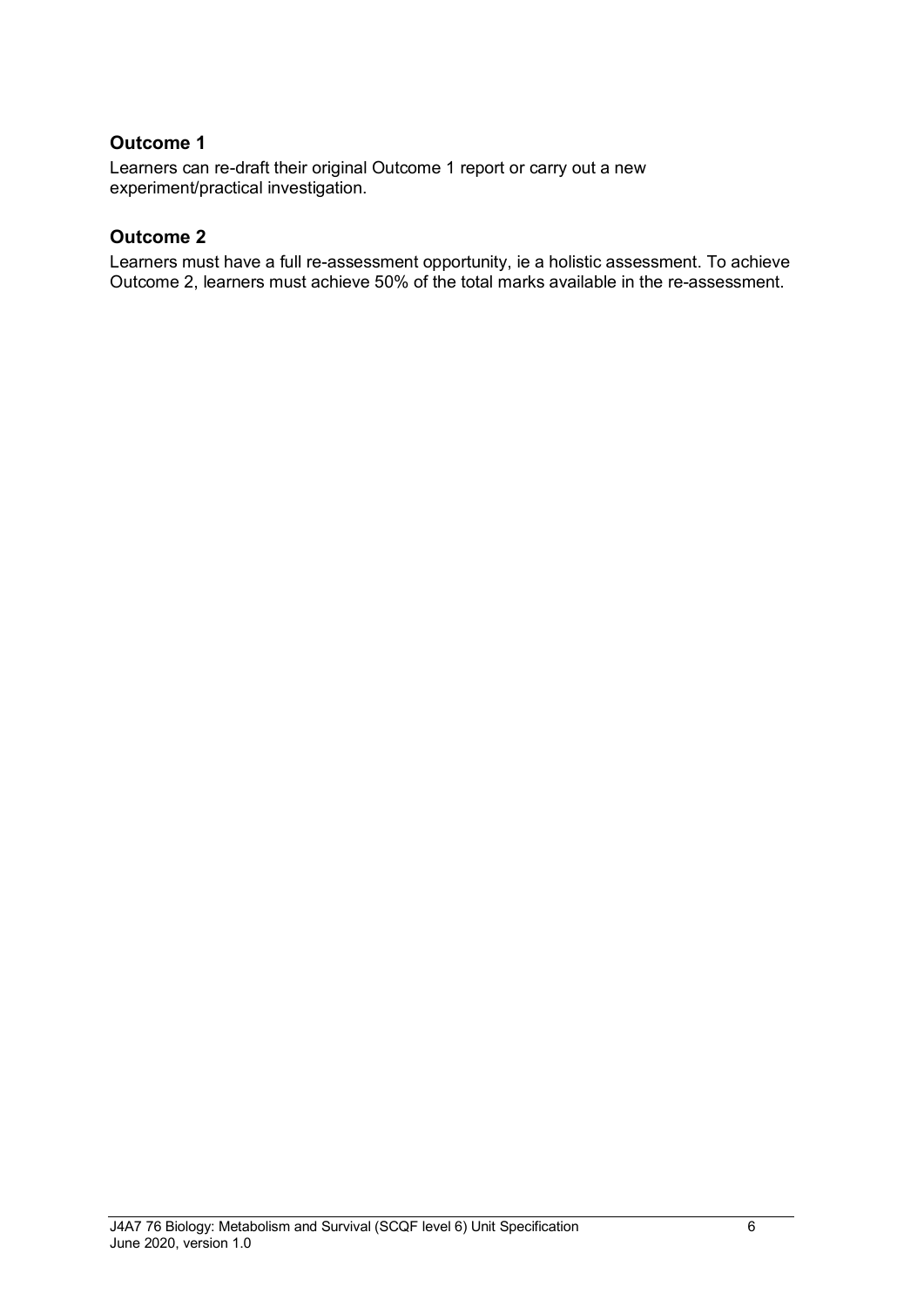#### **Outcome 1**

Learners can re-draft their original Outcome 1 report or carry out a new experiment/practical investigation.

#### **Outcome 2**

Learners must have a full re-assessment opportunity, ie a holistic assessment. To achieve Outcome 2, learners must achieve 50% of the total marks available in the re-assessment.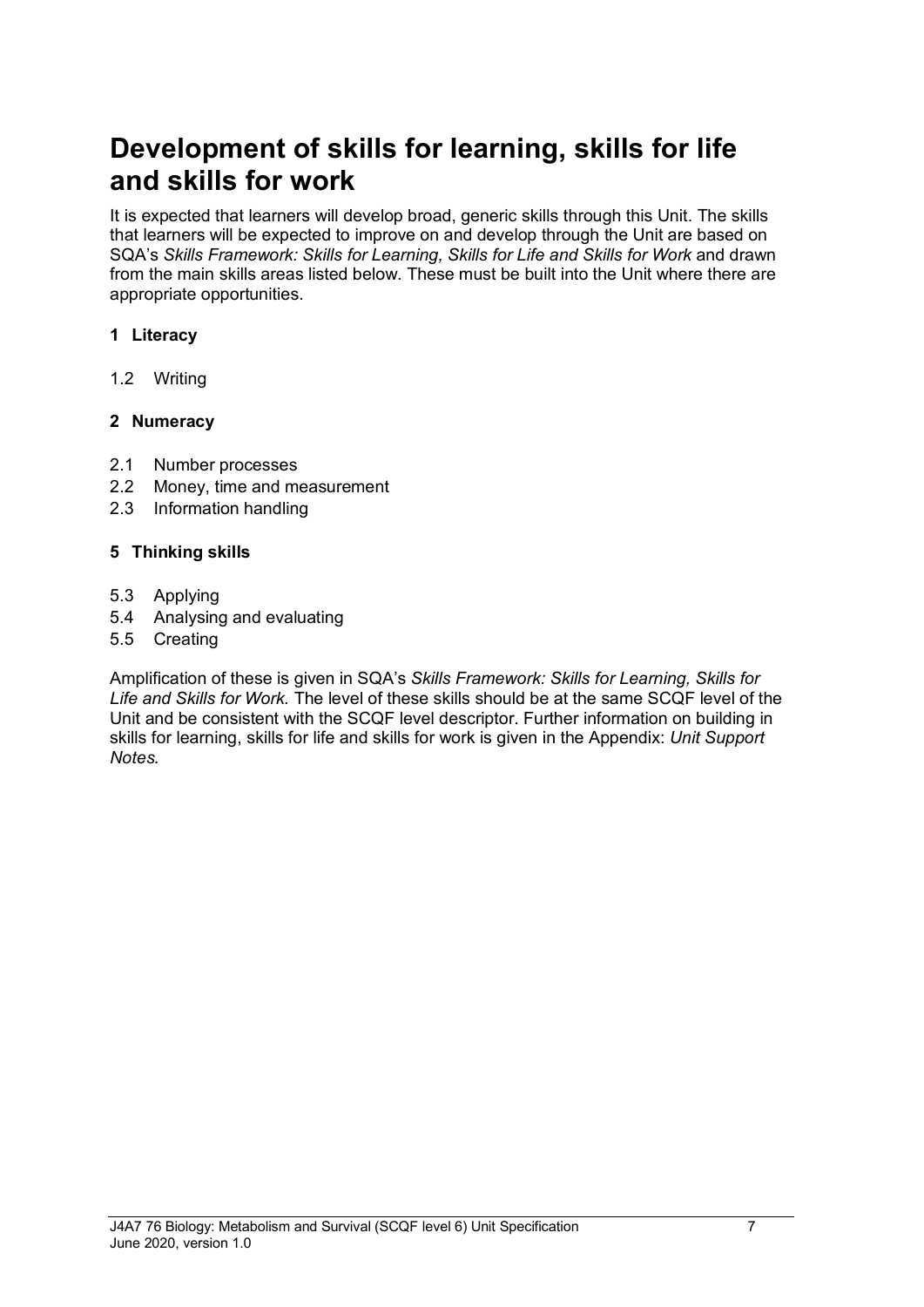## **Development of skills for learning, skills for life and skills for work**

It is expected that learners will develop broad, generic skills through this Unit. The skills that learners will be expected to improve on and develop through the Unit are based on SQA's *Skills Framework: Skills for Learning, Skills for Life and Skills for Work* and drawn from the main skills areas listed below. These must be built into the Unit where there are appropriate opportunities.

#### **1 Literacy**

1.2 Writing

#### **2 Numeracy**

- 2.1 Number processes
- 2.2 Money, time and measurement
- 2.3 Information handling

#### **5 Thinking skills**

- 5.3 Applying
- 5.4 Analysing and evaluating
- 5.5 Creating

Amplification of these is given in SQA's *Skills Framework: Skills for Learning, Skills for Life and Skills for Work.* The level of these skills should be at the same SCQF level of the Unit and be consistent with the SCQF level descriptor. Further information on building in skills for learning, skills for life and skills for work is given in the Appendix: *Unit Support Notes.*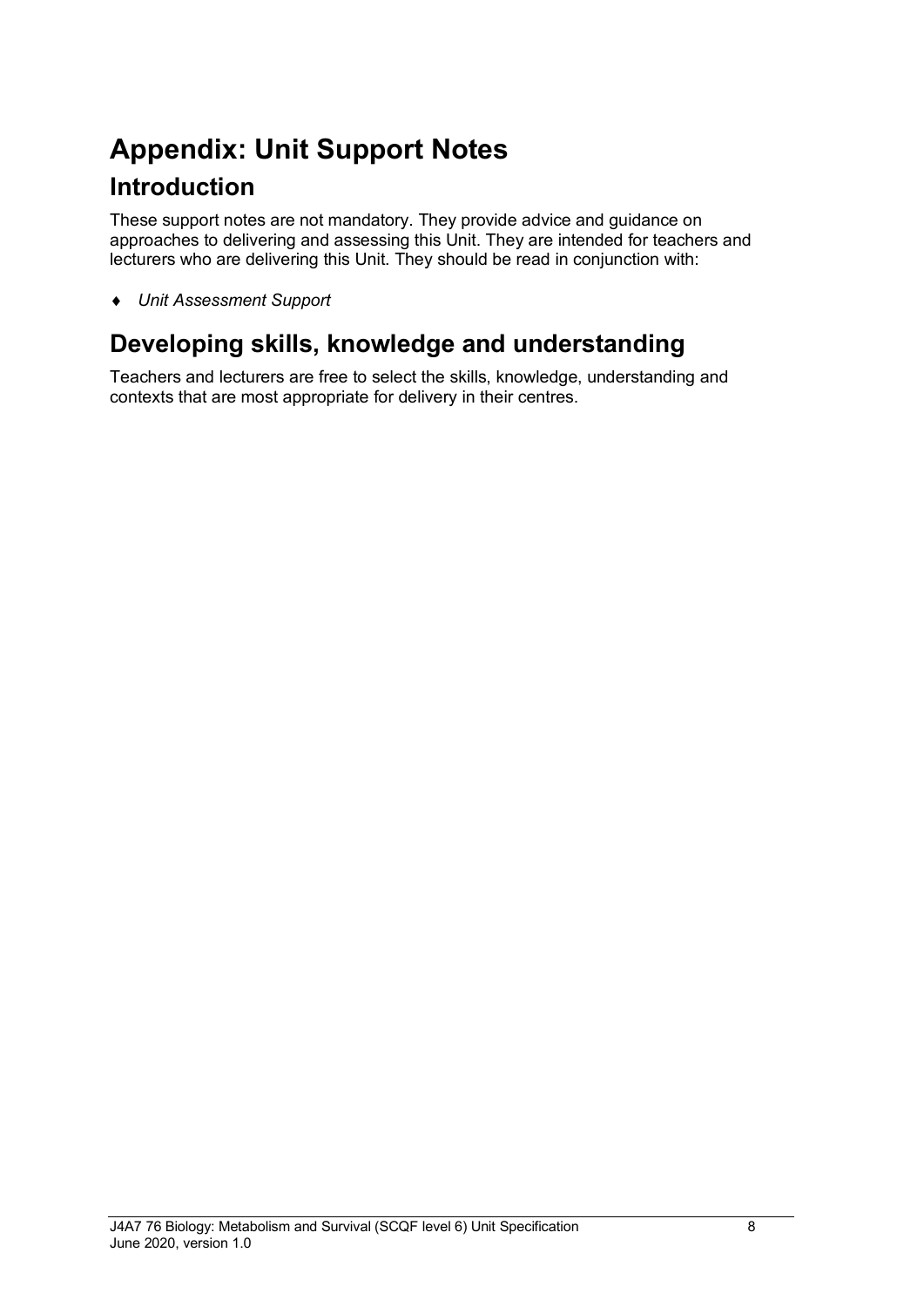# **Appendix: Unit Support Notes Introduction**

These support notes are not mandatory. They provide advice and guidance on approaches to delivering and assessing this Unit. They are intended for teachers and lecturers who are delivering this Unit. They should be read in conjunction with:

♦ *Unit Assessment Support* 

## **Developing skills, knowledge and understanding**

Teachers and lecturers are free to select the skills, knowledge, understanding and contexts that are most appropriate for delivery in their centres.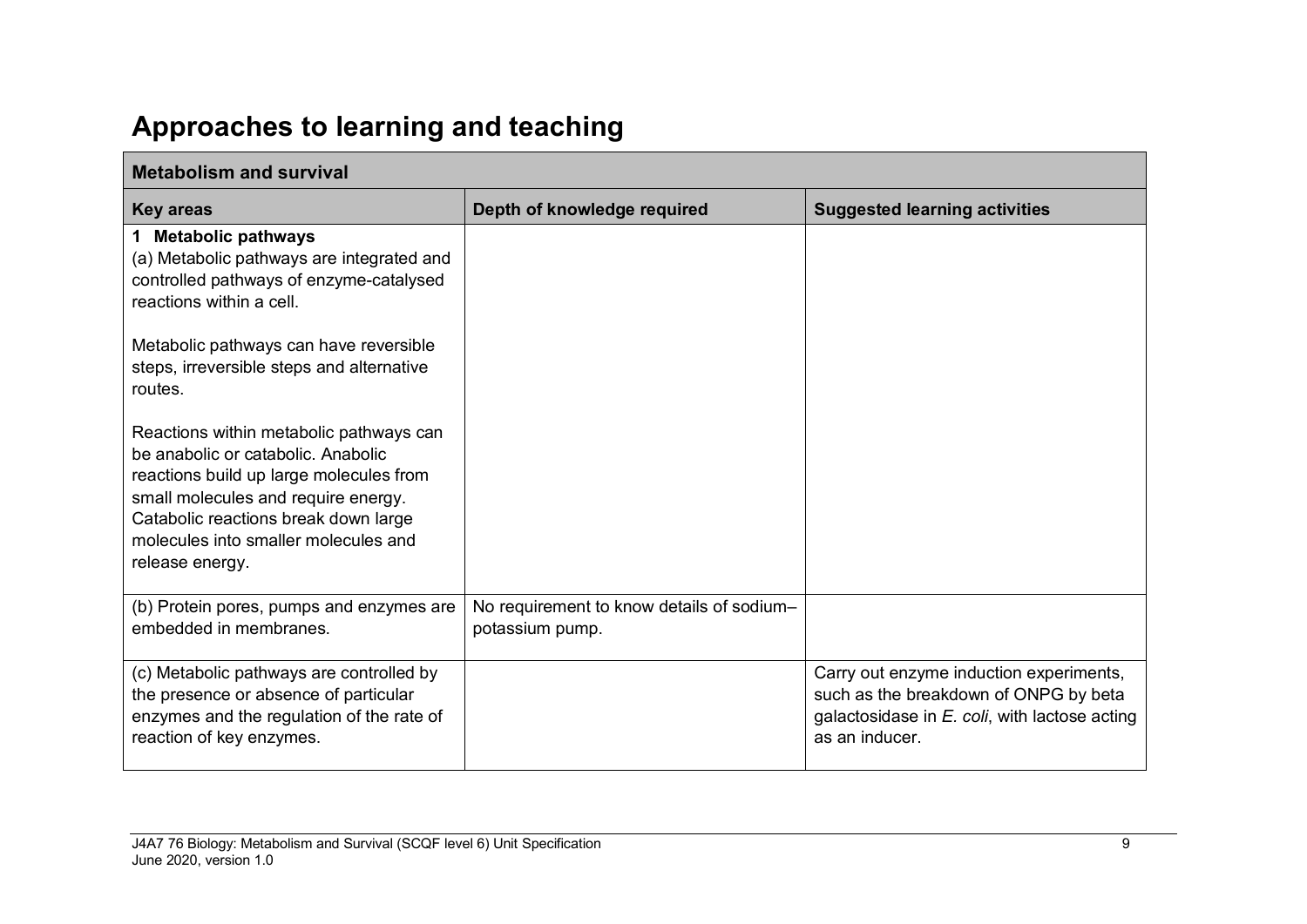# **Approaches to learning and teaching**

| <b>Metabolism and survival</b>                                                                                                                                                                                                                                     |                                                              |                                                                                                                                                        |
|--------------------------------------------------------------------------------------------------------------------------------------------------------------------------------------------------------------------------------------------------------------------|--------------------------------------------------------------|--------------------------------------------------------------------------------------------------------------------------------------------------------|
| <b>Key areas</b>                                                                                                                                                                                                                                                   | Depth of knowledge required                                  | <b>Suggested learning activities</b>                                                                                                                   |
| 1 Metabolic pathways<br>(a) Metabolic pathways are integrated and<br>controlled pathways of enzyme-catalysed<br>reactions within a cell.                                                                                                                           |                                                              |                                                                                                                                                        |
| Metabolic pathways can have reversible<br>steps, irreversible steps and alternative<br>routes.                                                                                                                                                                     |                                                              |                                                                                                                                                        |
| Reactions within metabolic pathways can<br>be anabolic or catabolic. Anabolic<br>reactions build up large molecules from<br>small molecules and require energy.<br>Catabolic reactions break down large<br>molecules into smaller molecules and<br>release energy. |                                                              |                                                                                                                                                        |
| (b) Protein pores, pumps and enzymes are<br>embedded in membranes.                                                                                                                                                                                                 | No requirement to know details of sodium-<br>potassium pump. |                                                                                                                                                        |
| (c) Metabolic pathways are controlled by<br>the presence or absence of particular<br>enzymes and the regulation of the rate of<br>reaction of key enzymes.                                                                                                         |                                                              | Carry out enzyme induction experiments,<br>such as the breakdown of ONPG by beta<br>galactosidase in $E$ . coli, with lactose acting<br>as an inducer. |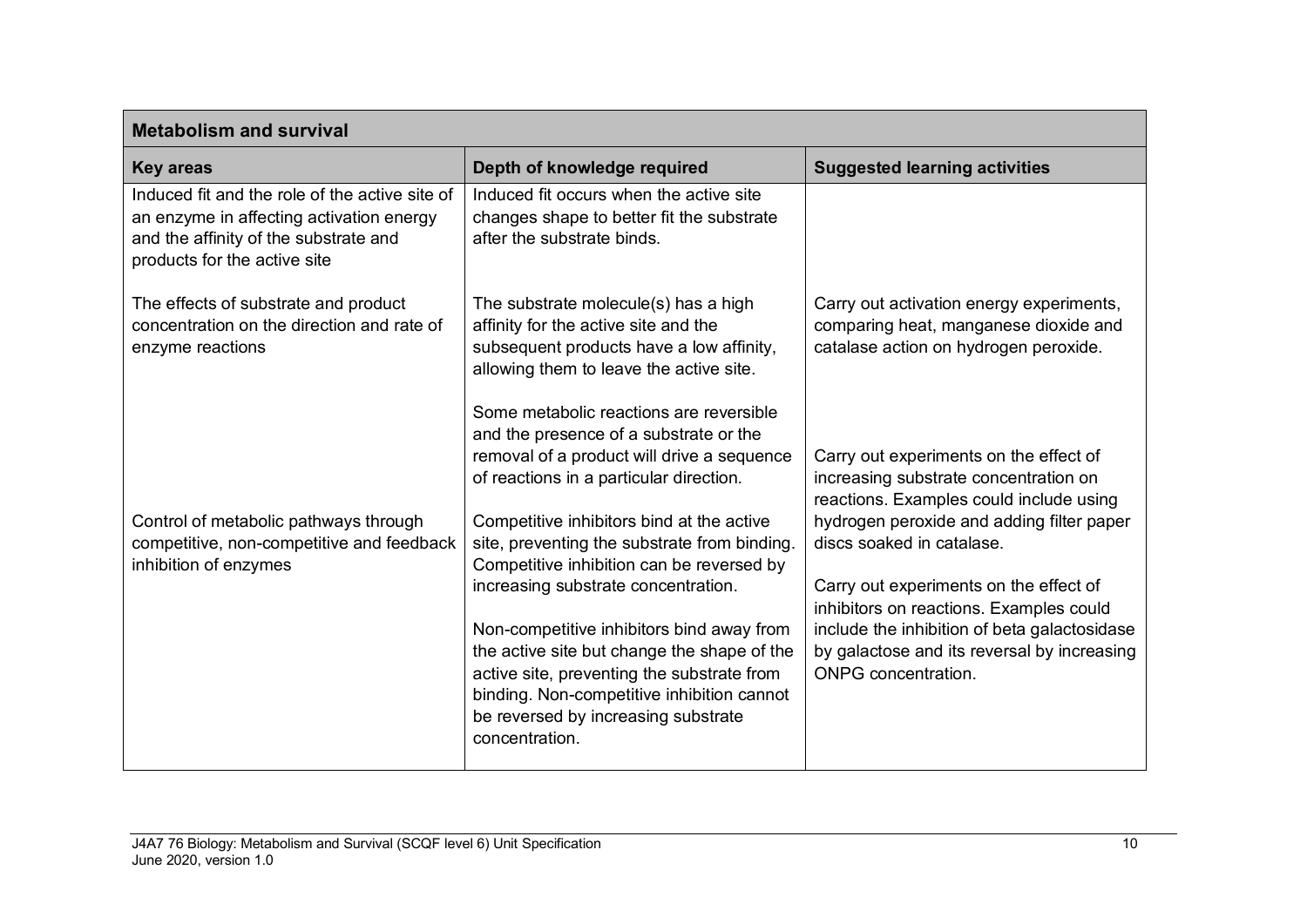| <b>Metabolism and survival</b>                                                                                                                                      |                                                                                                                                                                                                                                                          |                                                                                                                            |
|---------------------------------------------------------------------------------------------------------------------------------------------------------------------|----------------------------------------------------------------------------------------------------------------------------------------------------------------------------------------------------------------------------------------------------------|----------------------------------------------------------------------------------------------------------------------------|
| <b>Key areas</b>                                                                                                                                                    | Depth of knowledge required                                                                                                                                                                                                                              | <b>Suggested learning activities</b>                                                                                       |
| Induced fit and the role of the active site of<br>an enzyme in affecting activation energy<br>and the affinity of the substrate and<br>products for the active site | Induced fit occurs when the active site<br>changes shape to better fit the substrate<br>after the substrate binds.                                                                                                                                       |                                                                                                                            |
| The effects of substrate and product<br>concentration on the direction and rate of<br>enzyme reactions                                                              | The substrate molecule(s) has a high<br>affinity for the active site and the<br>subsequent products have a low affinity,<br>allowing them to leave the active site.<br>Some metabolic reactions are reversible<br>and the presence of a substrate or the | Carry out activation energy experiments,<br>comparing heat, manganese dioxide and<br>catalase action on hydrogen peroxide. |
|                                                                                                                                                                     | removal of a product will drive a sequence<br>of reactions in a particular direction.                                                                                                                                                                    | Carry out experiments on the effect of<br>increasing substrate concentration on<br>reactions. Examples could include using |
| Control of metabolic pathways through<br>competitive, non-competitive and feedback<br>inhibition of enzymes                                                         | Competitive inhibitors bind at the active<br>site, preventing the substrate from binding.<br>Competitive inhibition can be reversed by                                                                                                                   | hydrogen peroxide and adding filter paper<br>discs soaked in catalase.                                                     |
|                                                                                                                                                                     | increasing substrate concentration.                                                                                                                                                                                                                      | Carry out experiments on the effect of<br>inhibitors on reactions. Examples could                                          |
|                                                                                                                                                                     | Non-competitive inhibitors bind away from<br>the active site but change the shape of the<br>active site, preventing the substrate from<br>binding. Non-competitive inhibition cannot<br>be reversed by increasing substrate<br>concentration.            | include the inhibition of beta galactosidase<br>by galactose and its reversal by increasing<br><b>ONPG</b> concentration.  |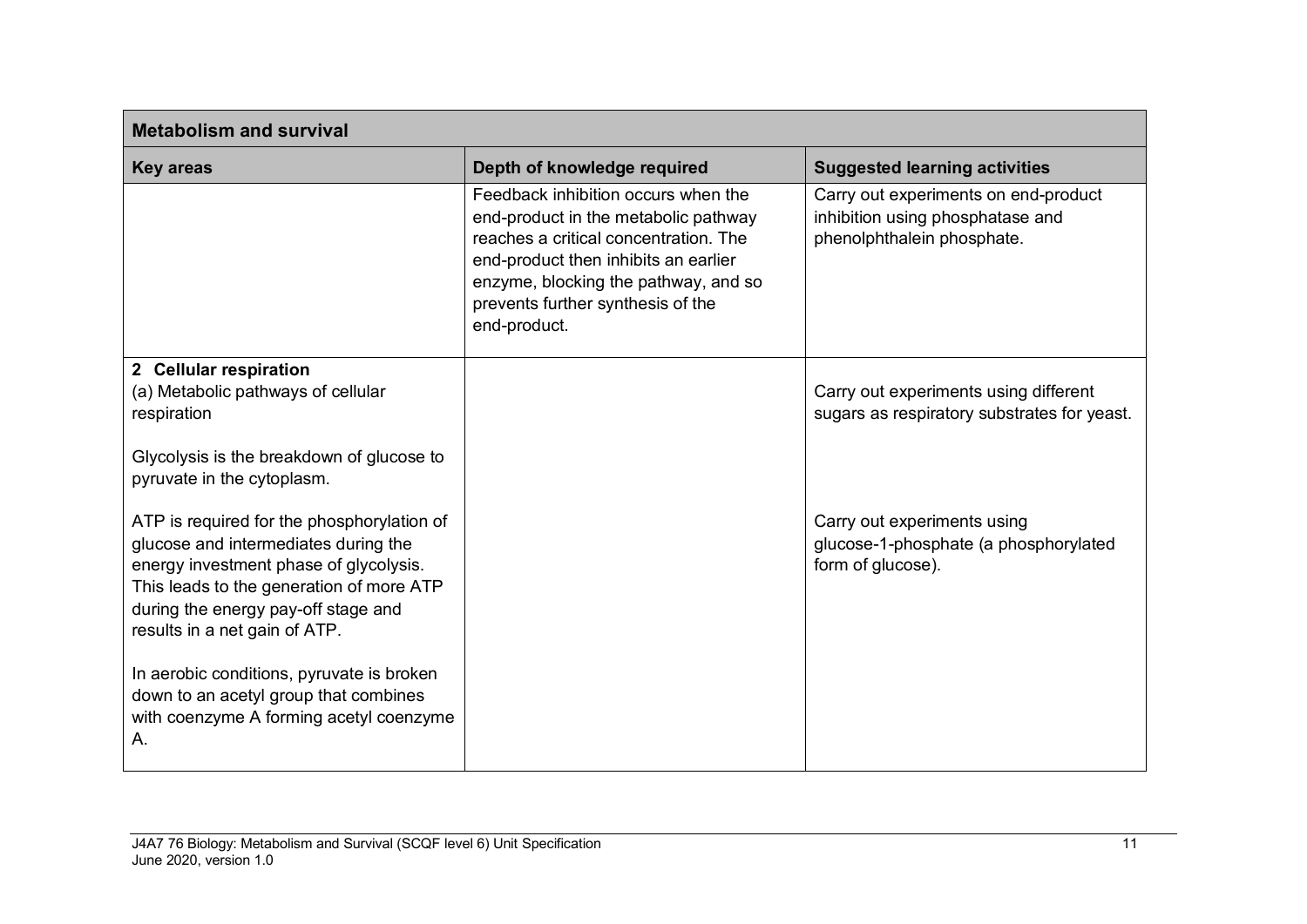| <b>Metabolism and survival</b>                                                                                                                                                                                                                                                 |                                                                                                                                                                                                                                                           |                                                                                                        |
|--------------------------------------------------------------------------------------------------------------------------------------------------------------------------------------------------------------------------------------------------------------------------------|-----------------------------------------------------------------------------------------------------------------------------------------------------------------------------------------------------------------------------------------------------------|--------------------------------------------------------------------------------------------------------|
| <b>Key areas</b>                                                                                                                                                                                                                                                               | Depth of knowledge required                                                                                                                                                                                                                               | <b>Suggested learning activities</b>                                                                   |
|                                                                                                                                                                                                                                                                                | Feedback inhibition occurs when the<br>end-product in the metabolic pathway<br>reaches a critical concentration. The<br>end-product then inhibits an earlier<br>enzyme, blocking the pathway, and so<br>prevents further synthesis of the<br>end-product. | Carry out experiments on end-product<br>inhibition using phosphatase and<br>phenolphthalein phosphate. |
| 2 Cellular respiration<br>(a) Metabolic pathways of cellular<br>respiration<br>Glycolysis is the breakdown of glucose to                                                                                                                                                       |                                                                                                                                                                                                                                                           | Carry out experiments using different<br>sugars as respiratory substrates for yeast.                   |
| pyruvate in the cytoplasm.<br>ATP is required for the phosphorylation of<br>glucose and intermediates during the<br>energy investment phase of glycolysis.<br>This leads to the generation of more ATP<br>during the energy pay-off stage and<br>results in a net gain of ATP. |                                                                                                                                                                                                                                                           | Carry out experiments using<br>glucose-1-phosphate (a phosphorylated<br>form of glucose).              |
| In aerobic conditions, pyruvate is broken<br>down to an acetyl group that combines<br>with coenzyme A forming acetyl coenzyme<br>Α.                                                                                                                                            |                                                                                                                                                                                                                                                           |                                                                                                        |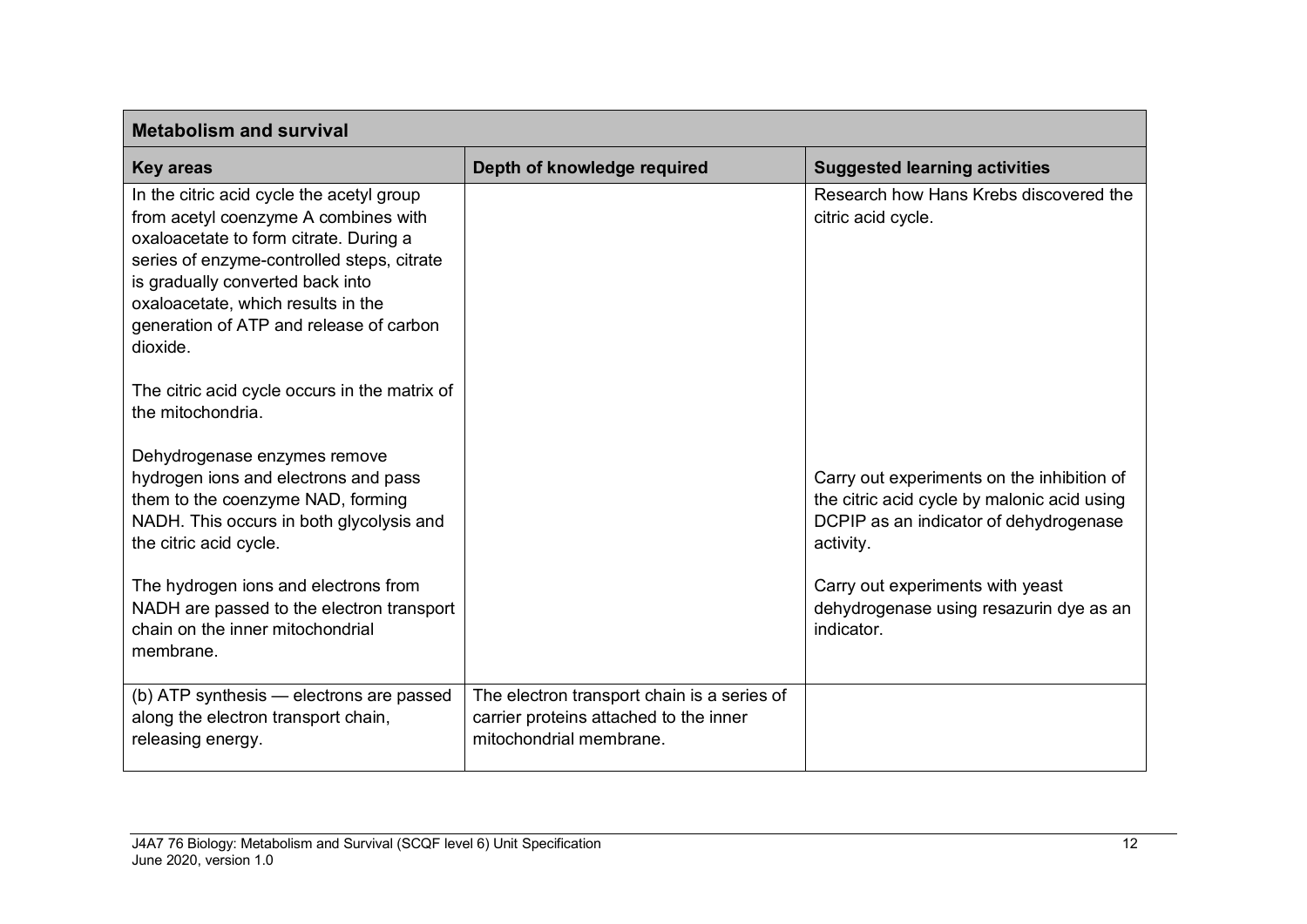| <b>Metabolism and survival</b>                                                                                                                                                                                                                                                                             |                                                                                                                  |                                                                                                                                                  |
|------------------------------------------------------------------------------------------------------------------------------------------------------------------------------------------------------------------------------------------------------------------------------------------------------------|------------------------------------------------------------------------------------------------------------------|--------------------------------------------------------------------------------------------------------------------------------------------------|
| <b>Key areas</b>                                                                                                                                                                                                                                                                                           | Depth of knowledge required                                                                                      | <b>Suggested learning activities</b>                                                                                                             |
| In the citric acid cycle the acetyl group<br>from acetyl coenzyme A combines with<br>oxaloacetate to form citrate. During a<br>series of enzyme-controlled steps, citrate<br>is gradually converted back into<br>oxaloacetate, which results in the<br>generation of ATP and release of carbon<br>dioxide. |                                                                                                                  | Research how Hans Krebs discovered the<br>citric acid cycle.                                                                                     |
| The citric acid cycle occurs in the matrix of<br>the mitochondria.                                                                                                                                                                                                                                         |                                                                                                                  |                                                                                                                                                  |
| Dehydrogenase enzymes remove<br>hydrogen ions and electrons and pass<br>them to the coenzyme NAD, forming<br>NADH. This occurs in both glycolysis and<br>the citric acid cycle.                                                                                                                            |                                                                                                                  | Carry out experiments on the inhibition of<br>the citric acid cycle by malonic acid using<br>DCPIP as an indicator of dehydrogenase<br>activity. |
| The hydrogen ions and electrons from<br>NADH are passed to the electron transport<br>chain on the inner mitochondrial<br>membrane.                                                                                                                                                                         |                                                                                                                  | Carry out experiments with yeast<br>dehydrogenase using resazurin dye as an<br>indicator.                                                        |
| (b) ATP synthesis - electrons are passed<br>along the electron transport chain,<br>releasing energy.                                                                                                                                                                                                       | The electron transport chain is a series of<br>carrier proteins attached to the inner<br>mitochondrial membrane. |                                                                                                                                                  |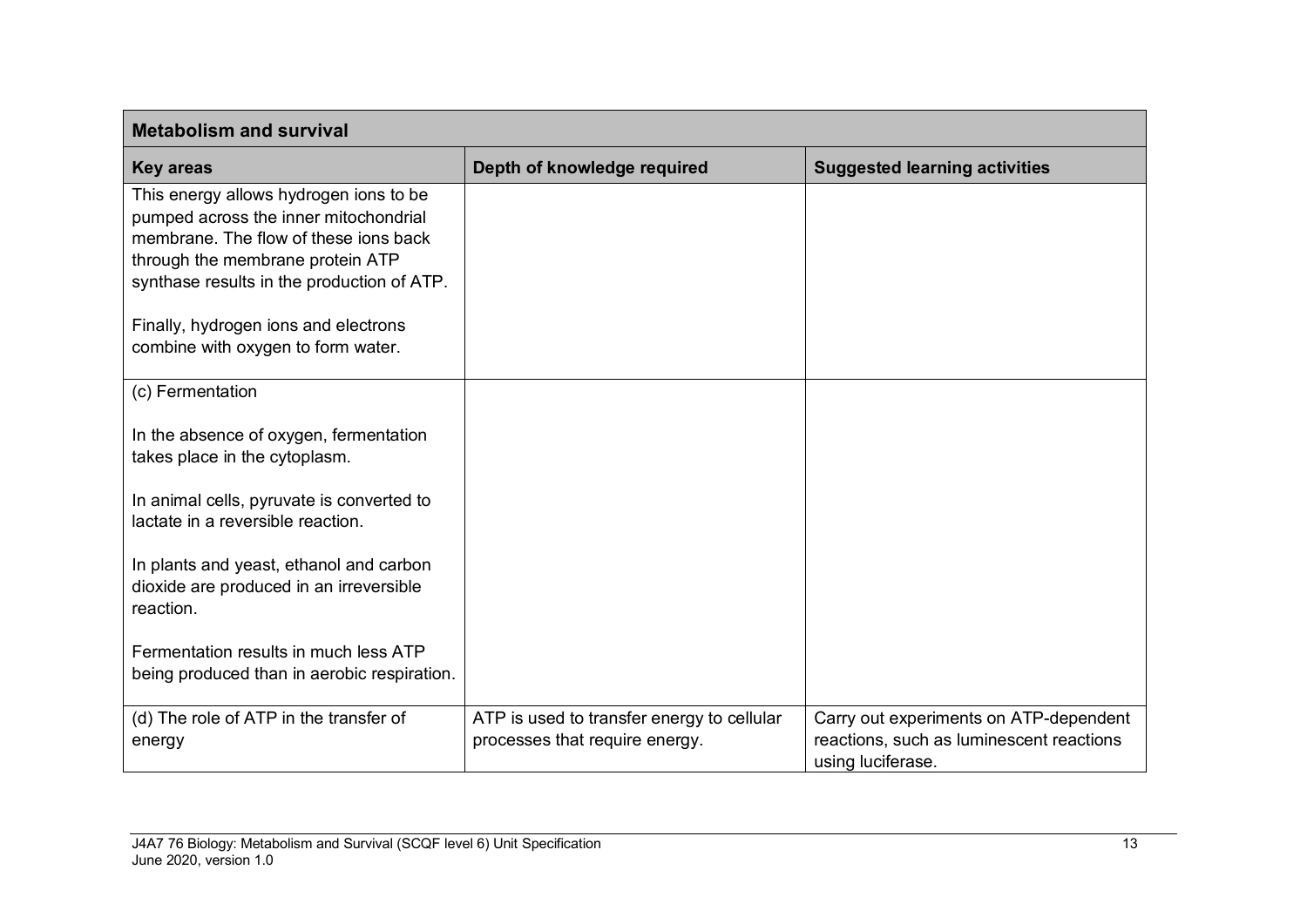| <b>Metabolism and survival</b>                                                                                                                                                                             |                                                                              |                                                                                                         |
|------------------------------------------------------------------------------------------------------------------------------------------------------------------------------------------------------------|------------------------------------------------------------------------------|---------------------------------------------------------------------------------------------------------|
| <b>Key areas</b>                                                                                                                                                                                           | Depth of knowledge required                                                  | <b>Suggested learning activities</b>                                                                    |
| This energy allows hydrogen ions to be<br>pumped across the inner mitochondrial<br>membrane. The flow of these jons back<br>through the membrane protein ATP<br>synthase results in the production of ATP. |                                                                              |                                                                                                         |
| Finally, hydrogen ions and electrons<br>combine with oxygen to form water.                                                                                                                                 |                                                                              |                                                                                                         |
| (c) Fermentation                                                                                                                                                                                           |                                                                              |                                                                                                         |
| In the absence of oxygen, fermentation<br>takes place in the cytoplasm.                                                                                                                                    |                                                                              |                                                                                                         |
| In animal cells, pyruvate is converted to<br>lactate in a reversible reaction.                                                                                                                             |                                                                              |                                                                                                         |
| In plants and yeast, ethanol and carbon<br>dioxide are produced in an irreversible<br>reaction.                                                                                                            |                                                                              |                                                                                                         |
| Fermentation results in much less ATP<br>being produced than in aerobic respiration.                                                                                                                       |                                                                              |                                                                                                         |
| (d) The role of ATP in the transfer of<br>energy                                                                                                                                                           | ATP is used to transfer energy to cellular<br>processes that require energy. | Carry out experiments on ATP-dependent<br>reactions, such as luminescent reactions<br>using luciferase. |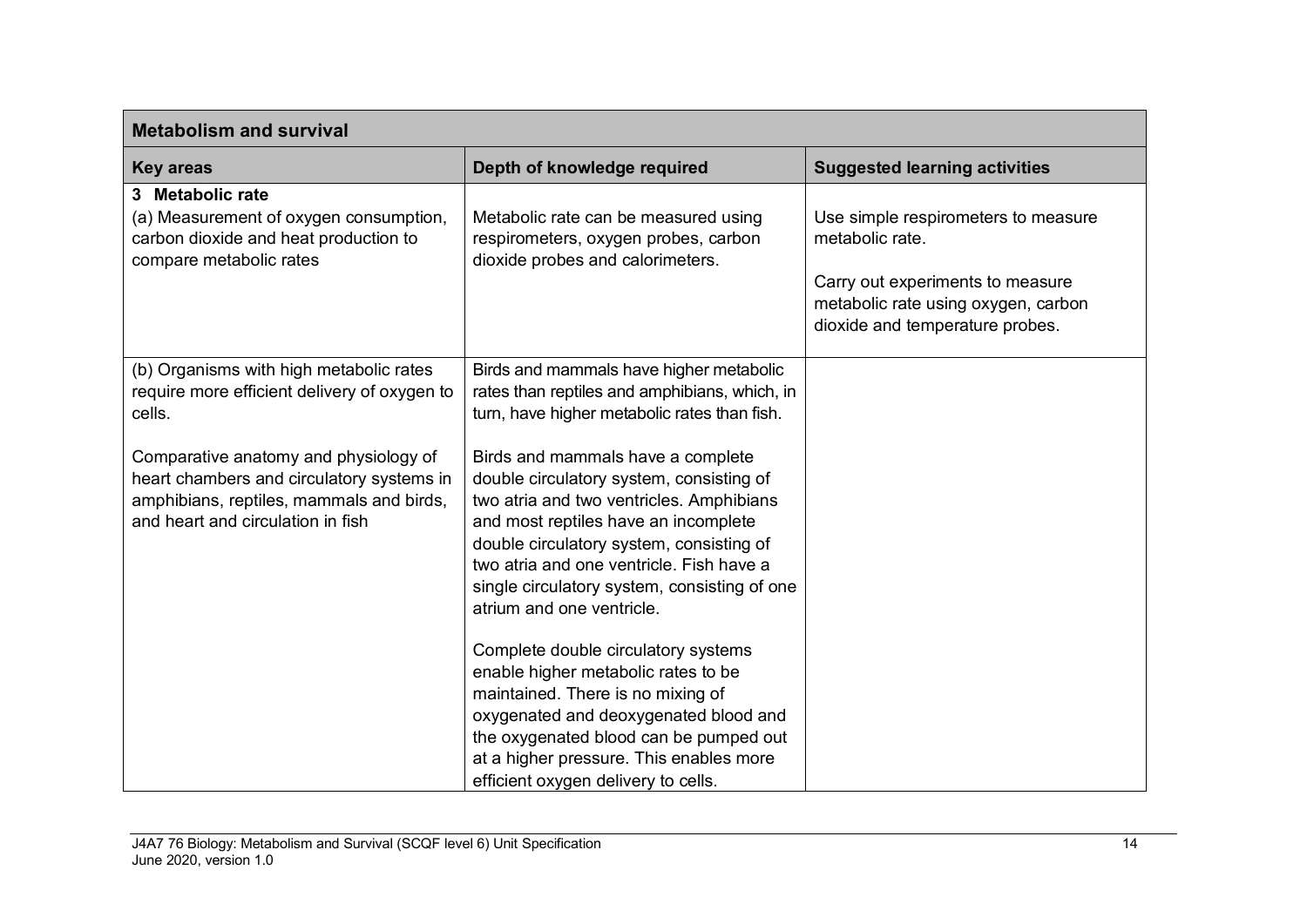| <b>Metabolism and survival</b>                                                                                                                                      |                                                                                                                                                                                                                                                                                                                                        |                                                                                                                                                                      |
|---------------------------------------------------------------------------------------------------------------------------------------------------------------------|----------------------------------------------------------------------------------------------------------------------------------------------------------------------------------------------------------------------------------------------------------------------------------------------------------------------------------------|----------------------------------------------------------------------------------------------------------------------------------------------------------------------|
| <b>Key areas</b>                                                                                                                                                    | Depth of knowledge required                                                                                                                                                                                                                                                                                                            | <b>Suggested learning activities</b>                                                                                                                                 |
| 3 Metabolic rate<br>(a) Measurement of oxygen consumption,<br>carbon dioxide and heat production to<br>compare metabolic rates                                      | Metabolic rate can be measured using<br>respirometers, oxygen probes, carbon<br>dioxide probes and calorimeters.                                                                                                                                                                                                                       | Use simple respirometers to measure<br>metabolic rate.<br>Carry out experiments to measure<br>metabolic rate using oxygen, carbon<br>dioxide and temperature probes. |
| (b) Organisms with high metabolic rates<br>require more efficient delivery of oxygen to<br>cells.                                                                   | Birds and mammals have higher metabolic<br>rates than reptiles and amphibians, which, in<br>turn, have higher metabolic rates than fish.                                                                                                                                                                                               |                                                                                                                                                                      |
| Comparative anatomy and physiology of<br>heart chambers and circulatory systems in<br>amphibians, reptiles, mammals and birds,<br>and heart and circulation in fish | Birds and mammals have a complete<br>double circulatory system, consisting of<br>two atria and two ventricles. Amphibians<br>and most reptiles have an incomplete<br>double circulatory system, consisting of<br>two atria and one ventricle. Fish have a<br>single circulatory system, consisting of one<br>atrium and one ventricle. |                                                                                                                                                                      |
|                                                                                                                                                                     | Complete double circulatory systems<br>enable higher metabolic rates to be<br>maintained. There is no mixing of<br>oxygenated and deoxygenated blood and<br>the oxygenated blood can be pumped out<br>at a higher pressure. This enables more<br>efficient oxygen delivery to cells.                                                   |                                                                                                                                                                      |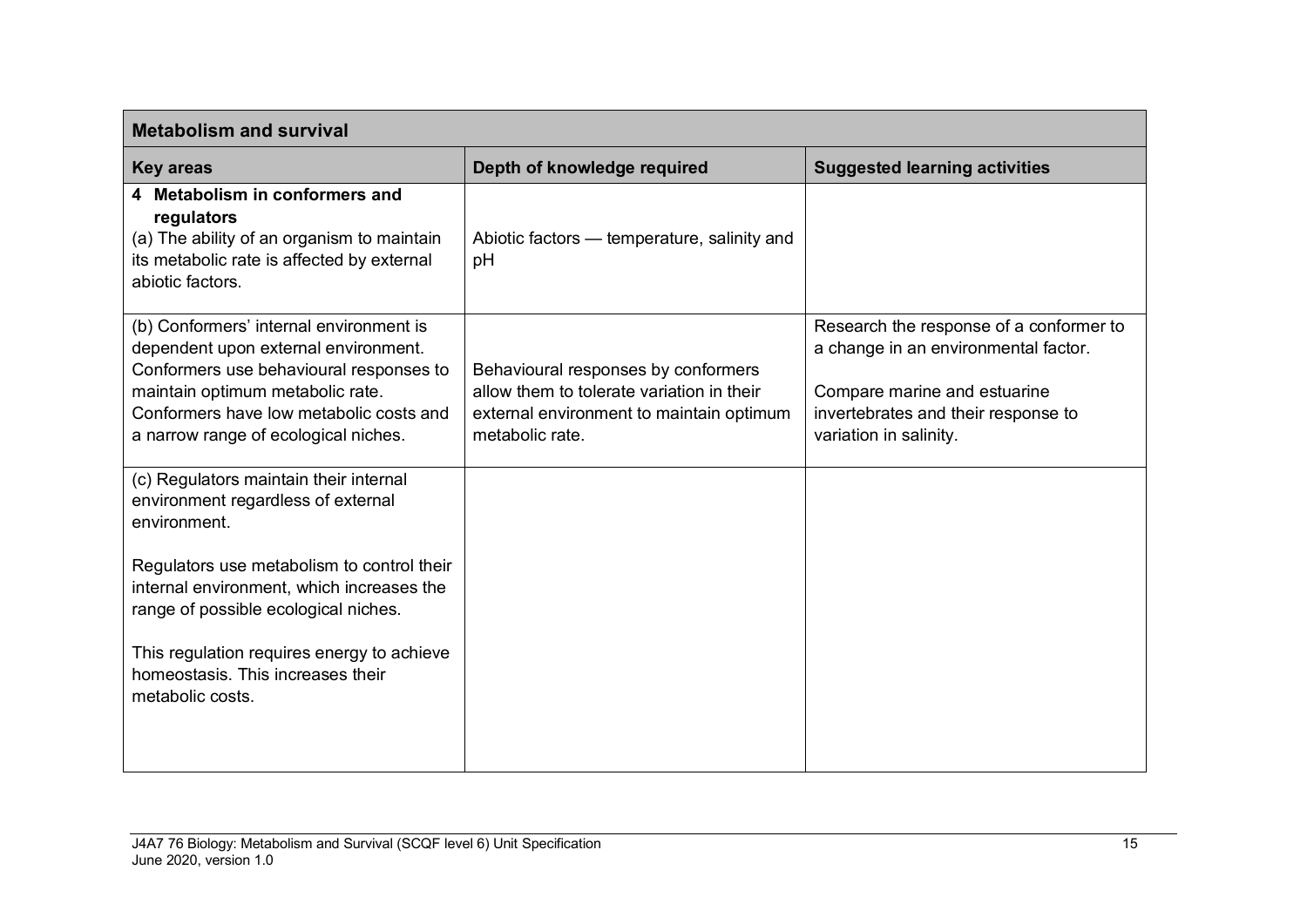| <b>Metabolism and survival</b>                                                                                                                                                                                                                    |                                                                                                                                                 |                                                                                                                                                                                  |
|---------------------------------------------------------------------------------------------------------------------------------------------------------------------------------------------------------------------------------------------------|-------------------------------------------------------------------------------------------------------------------------------------------------|----------------------------------------------------------------------------------------------------------------------------------------------------------------------------------|
| <b>Key areas</b>                                                                                                                                                                                                                                  | Depth of knowledge required                                                                                                                     | <b>Suggested learning activities</b>                                                                                                                                             |
| 4 Metabolism in conformers and<br>regulators<br>(a) The ability of an organism to maintain<br>its metabolic rate is affected by external<br>abiotic factors.                                                                                      | Abiotic factors — temperature, salinity and<br>pH                                                                                               |                                                                                                                                                                                  |
| (b) Conformers' internal environment is<br>dependent upon external environment.<br>Conformers use behavioural responses to<br>maintain optimum metabolic rate.<br>Conformers have low metabolic costs and<br>a narrow range of ecological niches. | Behavioural responses by conformers<br>allow them to tolerate variation in their<br>external environment to maintain optimum<br>metabolic rate. | Research the response of a conformer to<br>a change in an environmental factor.<br>Compare marine and estuarine<br>invertebrates and their response to<br>variation in salinity. |
| (c) Regulators maintain their internal<br>environment regardless of external<br>environment.                                                                                                                                                      |                                                                                                                                                 |                                                                                                                                                                                  |
| Regulators use metabolism to control their<br>internal environment, which increases the<br>range of possible ecological niches.                                                                                                                   |                                                                                                                                                 |                                                                                                                                                                                  |
| This regulation requires energy to achieve<br>homeostasis. This increases their<br>metabolic costs.                                                                                                                                               |                                                                                                                                                 |                                                                                                                                                                                  |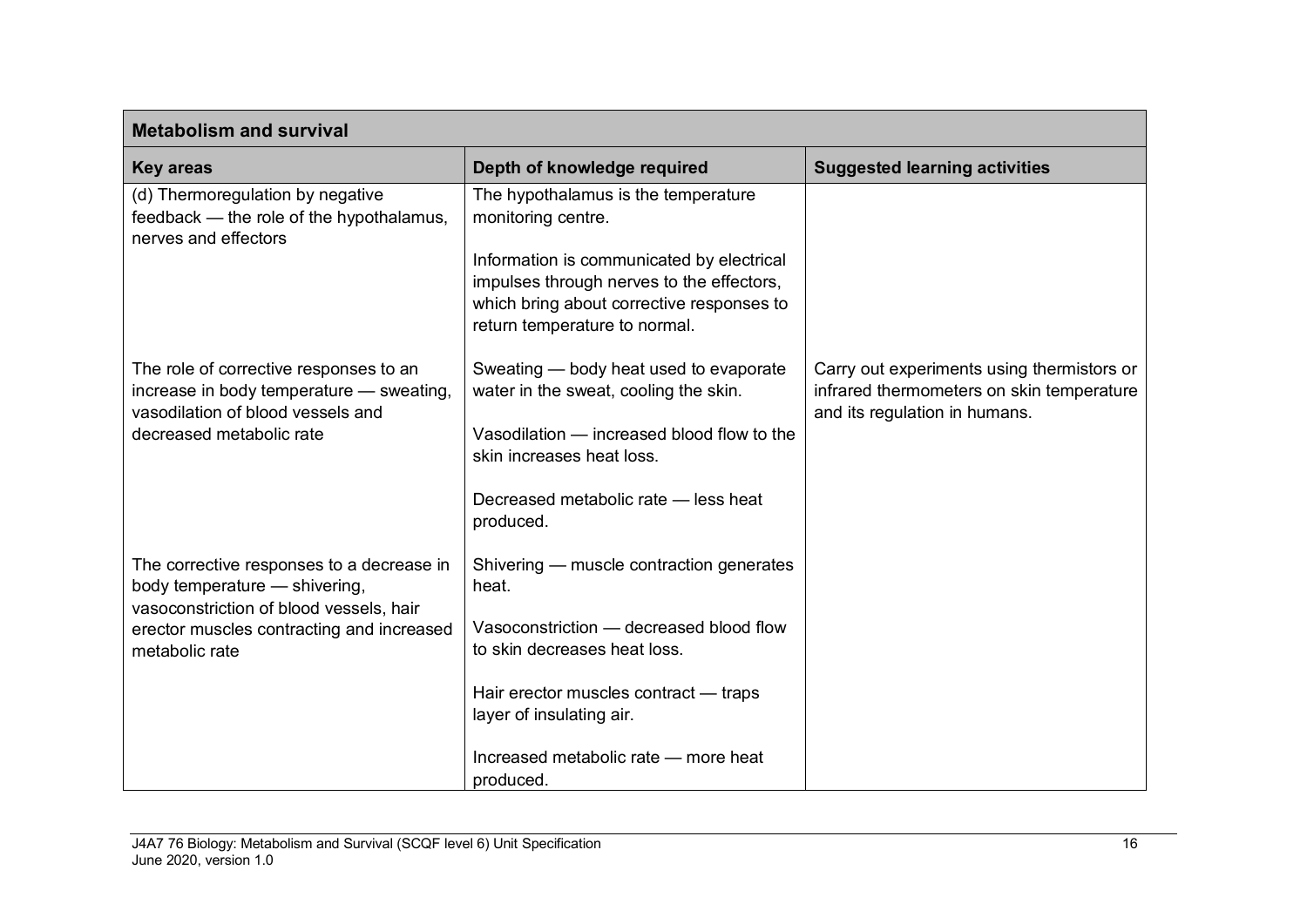| <b>Metabolism and survival</b>                                                                                          |                                                                                                                                                                      |                                                                                                                          |
|-------------------------------------------------------------------------------------------------------------------------|----------------------------------------------------------------------------------------------------------------------------------------------------------------------|--------------------------------------------------------------------------------------------------------------------------|
| <b>Key areas</b>                                                                                                        | Depth of knowledge required                                                                                                                                          | <b>Suggested learning activities</b>                                                                                     |
| (d) Thermoregulation by negative<br>feedback - the role of the hypothalamus,<br>nerves and effectors                    | The hypothalamus is the temperature<br>monitoring centre.                                                                                                            |                                                                                                                          |
|                                                                                                                         | Information is communicated by electrical<br>impulses through nerves to the effectors,<br>which bring about corrective responses to<br>return temperature to normal. |                                                                                                                          |
| The role of corrective responses to an<br>increase in body temperature - sweating,<br>vasodilation of blood vessels and | Sweating — body heat used to evaporate<br>water in the sweat, cooling the skin.                                                                                      | Carry out experiments using thermistors or<br>infrared thermometers on skin temperature<br>and its regulation in humans. |
| decreased metabolic rate                                                                                                | Vasodilation — increased blood flow to the<br>skin increases heat loss.                                                                                              |                                                                                                                          |
|                                                                                                                         | Decreased metabolic rate - less heat<br>produced.                                                                                                                    |                                                                                                                          |
| The corrective responses to a decrease in<br>body temperature - shivering,<br>vasoconstriction of blood vessels, hair   | Shivering — muscle contraction generates<br>heat.                                                                                                                    |                                                                                                                          |
| erector muscles contracting and increased<br>metabolic rate                                                             | Vasoconstriction - decreased blood flow<br>to skin decreases heat loss.                                                                                              |                                                                                                                          |
|                                                                                                                         | Hair erector muscles contract - traps<br>layer of insulating air.                                                                                                    |                                                                                                                          |
|                                                                                                                         | Increased metabolic rate - more heat<br>produced.                                                                                                                    |                                                                                                                          |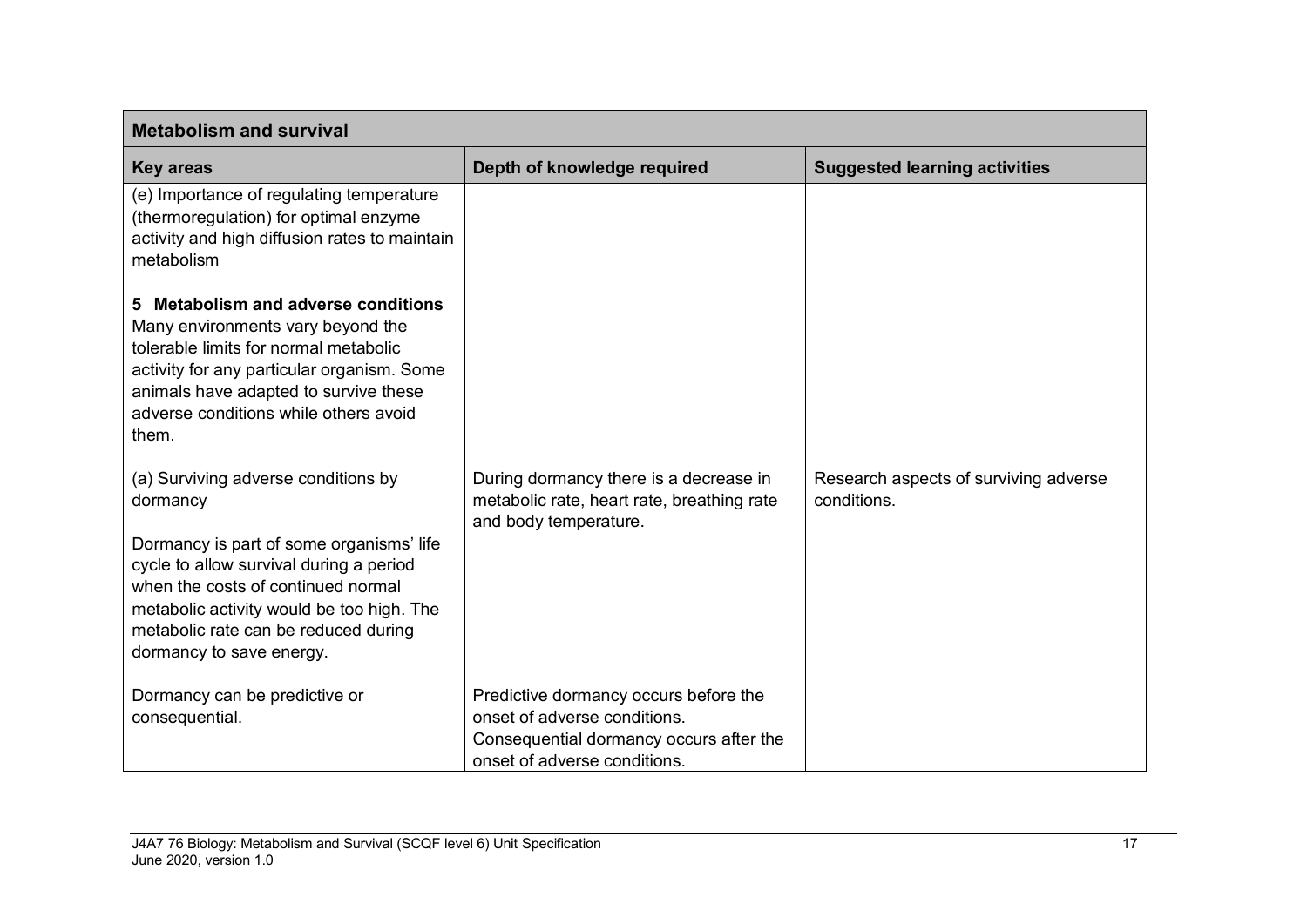| <b>Metabolism and survival</b>                                                                                                                                                                                                                                                                |                                                                                                                                                  |                                                      |
|-----------------------------------------------------------------------------------------------------------------------------------------------------------------------------------------------------------------------------------------------------------------------------------------------|--------------------------------------------------------------------------------------------------------------------------------------------------|------------------------------------------------------|
| <b>Key areas</b>                                                                                                                                                                                                                                                                              | Depth of knowledge required                                                                                                                      | <b>Suggested learning activities</b>                 |
| (e) Importance of regulating temperature<br>(thermoregulation) for optimal enzyme<br>activity and high diffusion rates to maintain<br>metabolism                                                                                                                                              |                                                                                                                                                  |                                                      |
| 5 Metabolism and adverse conditions<br>Many environments vary beyond the<br>tolerable limits for normal metabolic<br>activity for any particular organism. Some<br>animals have adapted to survive these<br>adverse conditions while others avoid<br>them.                                    |                                                                                                                                                  |                                                      |
| (a) Surviving adverse conditions by<br>dormancy<br>Dormancy is part of some organisms' life<br>cycle to allow survival during a period<br>when the costs of continued normal<br>metabolic activity would be too high. The<br>metabolic rate can be reduced during<br>dormancy to save energy. | During dormancy there is a decrease in<br>metabolic rate, heart rate, breathing rate<br>and body temperature.                                    | Research aspects of surviving adverse<br>conditions. |
| Dormancy can be predictive or<br>consequential.                                                                                                                                                                                                                                               | Predictive dormancy occurs before the<br>onset of adverse conditions.<br>Consequential dormancy occurs after the<br>onset of adverse conditions. |                                                      |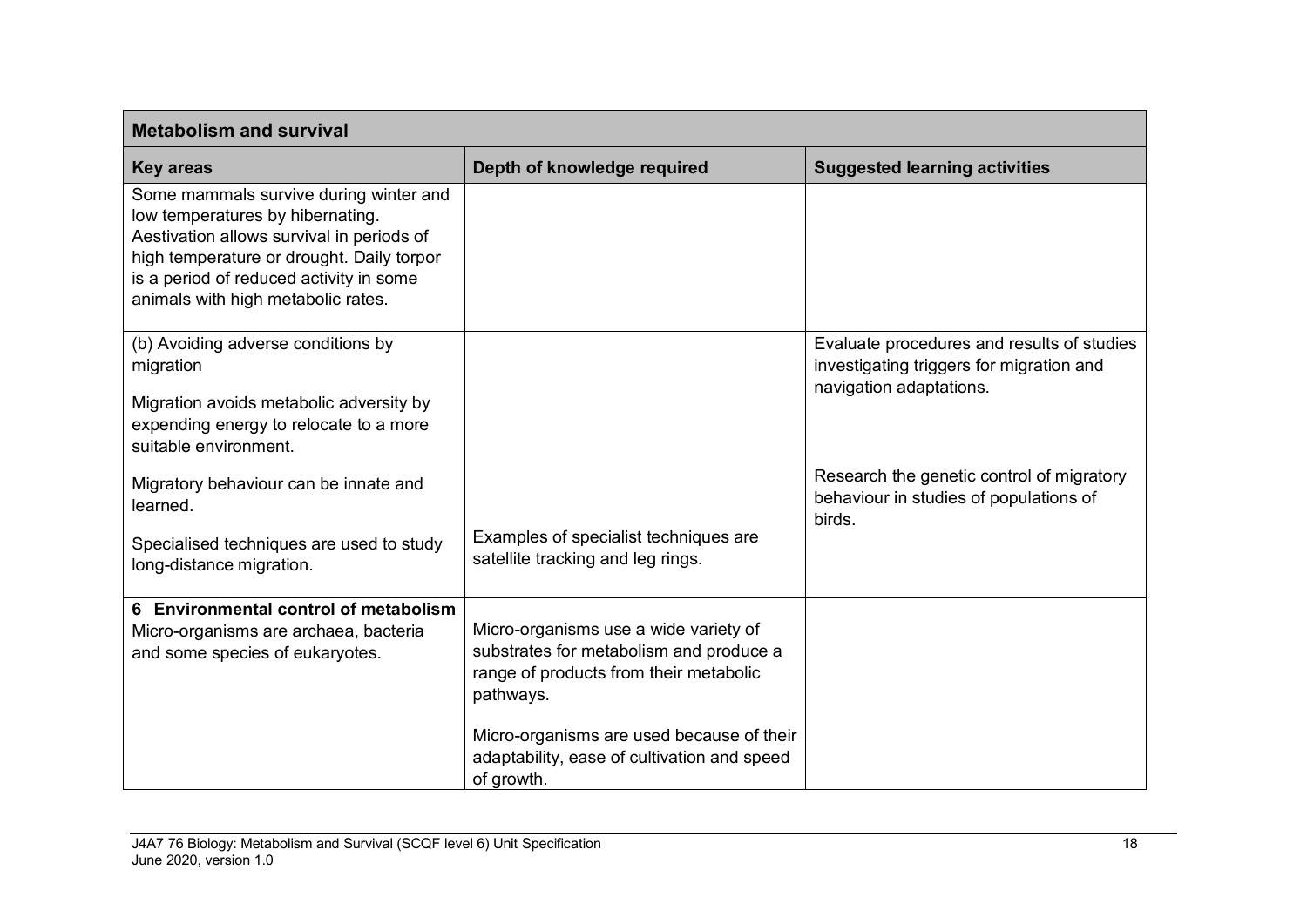| <b>Metabolism and survival</b>                                                                                                                                                                                                                        |                                                                                                        |                                                                                                                   |
|-------------------------------------------------------------------------------------------------------------------------------------------------------------------------------------------------------------------------------------------------------|--------------------------------------------------------------------------------------------------------|-------------------------------------------------------------------------------------------------------------------|
| <b>Key areas</b>                                                                                                                                                                                                                                      | Depth of knowledge required                                                                            | <b>Suggested learning activities</b>                                                                              |
| Some mammals survive during winter and<br>low temperatures by hibernating.<br>Aestivation allows survival in periods of<br>high temperature or drought. Daily torpor<br>is a period of reduced activity in some<br>animals with high metabolic rates. |                                                                                                        |                                                                                                                   |
| (b) Avoiding adverse conditions by<br>migration                                                                                                                                                                                                       |                                                                                                        | Evaluate procedures and results of studies<br>investigating triggers for migration and<br>navigation adaptations. |
| Migration avoids metabolic adversity by<br>expending energy to relocate to a more<br>suitable environment.                                                                                                                                            |                                                                                                        |                                                                                                                   |
| Migratory behaviour can be innate and<br>learned.                                                                                                                                                                                                     |                                                                                                        | Research the genetic control of migratory<br>behaviour in studies of populations of<br>birds.                     |
| Specialised techniques are used to study<br>long-distance migration.                                                                                                                                                                                  | Examples of specialist techniques are<br>satellite tracking and leg rings.                             |                                                                                                                   |
| 6 Environmental control of metabolism                                                                                                                                                                                                                 | Micro-organisms use a wide variety of                                                                  |                                                                                                                   |
| Micro-organisms are archaea, bacteria<br>and some species of eukaryotes.                                                                                                                                                                              | substrates for metabolism and produce a<br>range of products from their metabolic<br>pathways.         |                                                                                                                   |
|                                                                                                                                                                                                                                                       | Micro-organisms are used because of their<br>adaptability, ease of cultivation and speed<br>of growth. |                                                                                                                   |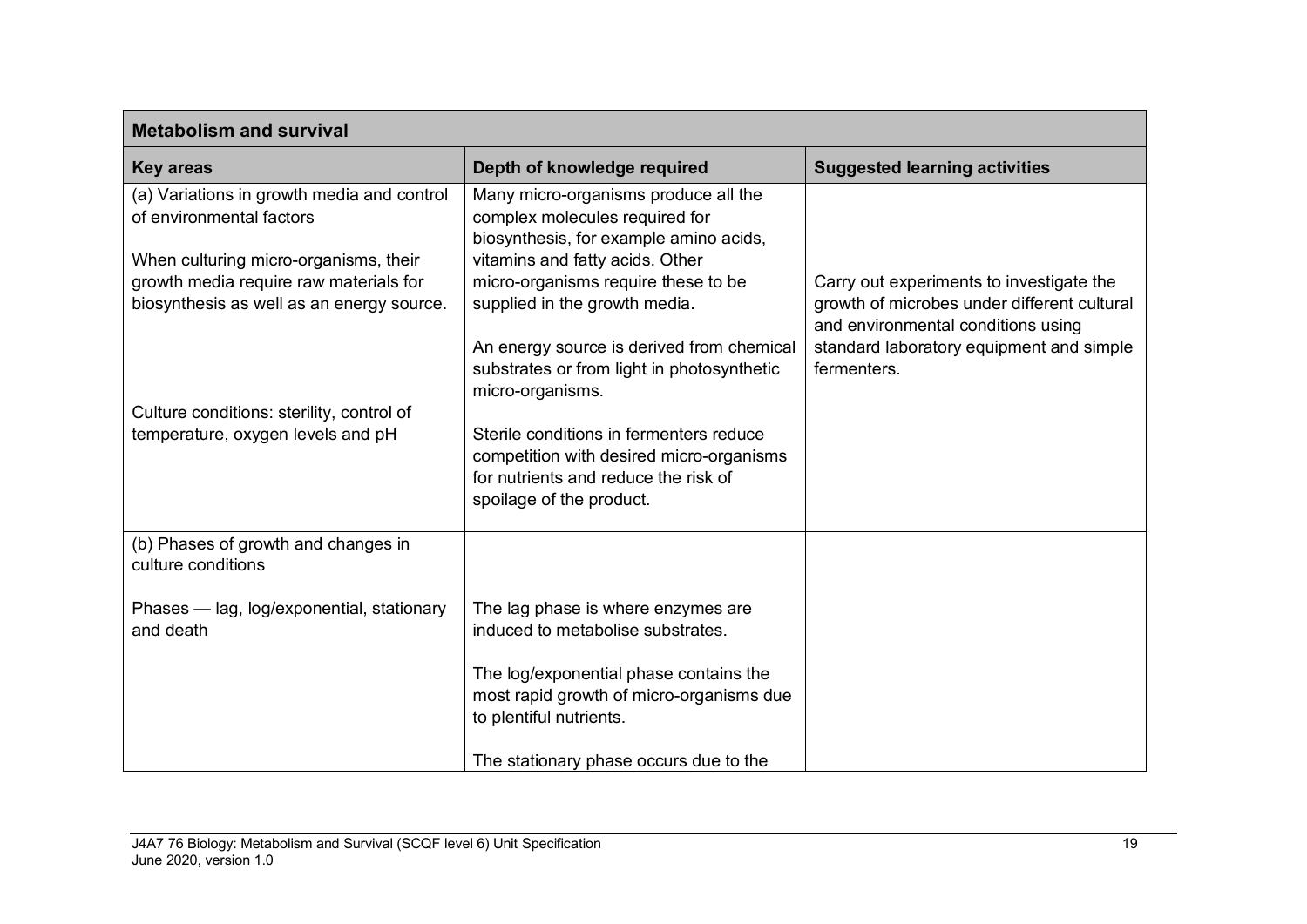| <b>Metabolism and survival</b>                                                                                               |                                                                                                                  |                                                                                                                                                                                          |  |  |
|------------------------------------------------------------------------------------------------------------------------------|------------------------------------------------------------------------------------------------------------------|------------------------------------------------------------------------------------------------------------------------------------------------------------------------------------------|--|--|
| <b>Key areas</b>                                                                                                             | Depth of knowledge required                                                                                      | <b>Suggested learning activities</b>                                                                                                                                                     |  |  |
| (a) Variations in growth media and control<br>of environmental factors                                                       | Many micro-organisms produce all the<br>complex molecules required for<br>biosynthesis, for example amino acids, |                                                                                                                                                                                          |  |  |
| When culturing micro-organisms, their<br>growth media require raw materials for<br>biosynthesis as well as an energy source. | vitamins and fatty acids. Other<br>micro-organisms require these to be<br>supplied in the growth media.          | Carry out experiments to investigate the<br>growth of microbes under different cultural<br>and environmental conditions using<br>standard laboratory equipment and simple<br>fermenters. |  |  |
|                                                                                                                              | An energy source is derived from chemical<br>substrates or from light in photosynthetic<br>micro-organisms.      |                                                                                                                                                                                          |  |  |
| Culture conditions: sterility, control of<br>temperature, oxygen levels and pH                                               | Sterile conditions in fermenters reduce                                                                          |                                                                                                                                                                                          |  |  |
|                                                                                                                              | competition with desired micro-organisms<br>for nutrients and reduce the risk of<br>spoilage of the product.     |                                                                                                                                                                                          |  |  |
| (b) Phases of growth and changes in<br>culture conditions                                                                    |                                                                                                                  |                                                                                                                                                                                          |  |  |
| Phases - lag, log/exponential, stationary<br>and death                                                                       | The lag phase is where enzymes are<br>induced to metabolise substrates.                                          |                                                                                                                                                                                          |  |  |
|                                                                                                                              | The log/exponential phase contains the<br>most rapid growth of micro-organisms due<br>to plentiful nutrients.    |                                                                                                                                                                                          |  |  |
|                                                                                                                              | The stationary phase occurs due to the                                                                           |                                                                                                                                                                                          |  |  |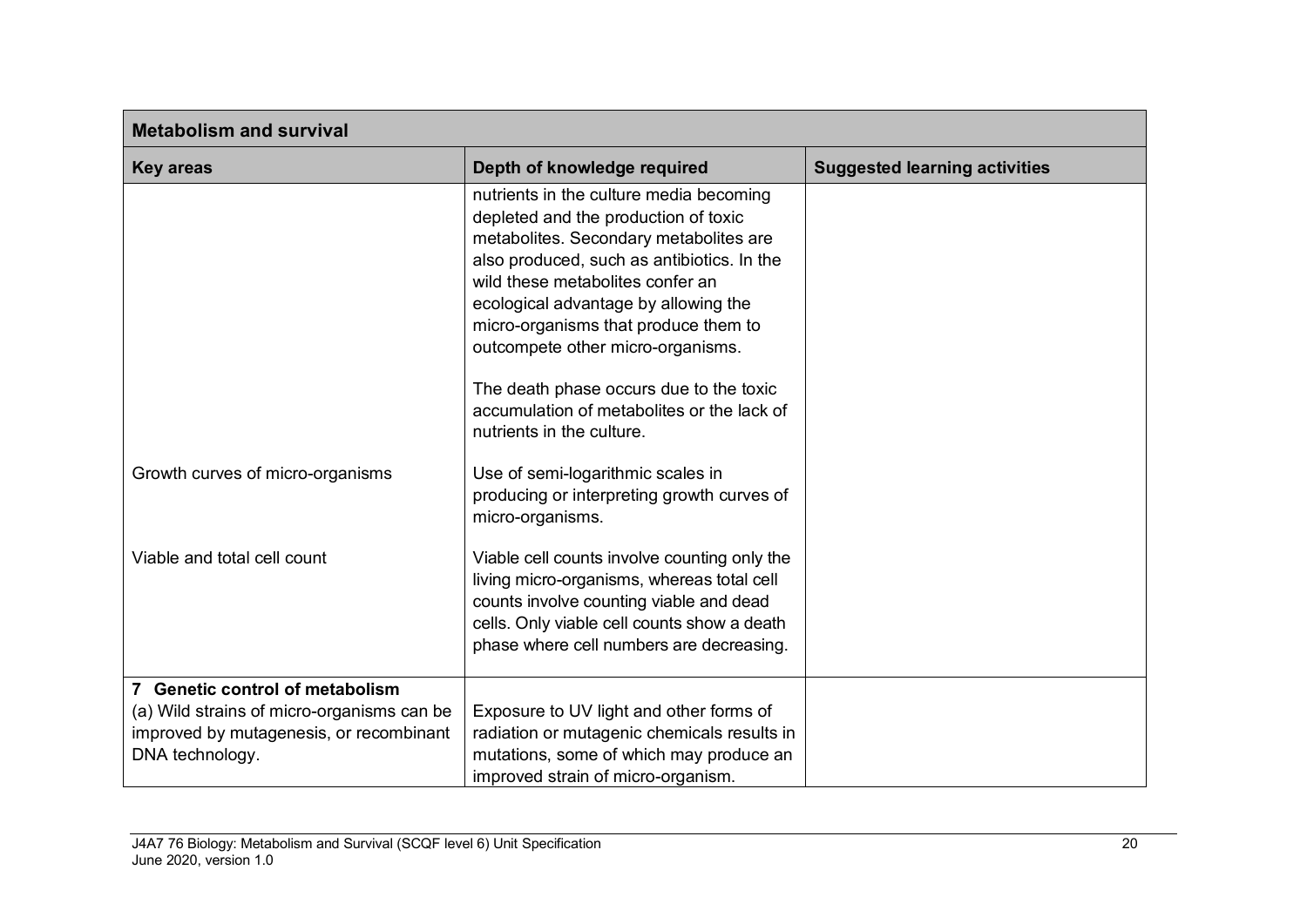| <b>Metabolism and survival</b>                                                                                                              |                                                                                                                                                                                                                                                                                                                                                                                                                           |                                      |  |
|---------------------------------------------------------------------------------------------------------------------------------------------|---------------------------------------------------------------------------------------------------------------------------------------------------------------------------------------------------------------------------------------------------------------------------------------------------------------------------------------------------------------------------------------------------------------------------|--------------------------------------|--|
| <b>Key areas</b>                                                                                                                            | Depth of knowledge required                                                                                                                                                                                                                                                                                                                                                                                               | <b>Suggested learning activities</b> |  |
|                                                                                                                                             | nutrients in the culture media becoming<br>depleted and the production of toxic<br>metabolites. Secondary metabolites are<br>also produced, such as antibiotics. In the<br>wild these metabolites confer an<br>ecological advantage by allowing the<br>micro-organisms that produce them to<br>outcompete other micro-organisms.<br>The death phase occurs due to the toxic<br>accumulation of metabolites or the lack of |                                      |  |
| Growth curves of micro-organisms                                                                                                            | nutrients in the culture.<br>Use of semi-logarithmic scales in<br>producing or interpreting growth curves of<br>micro-organisms.                                                                                                                                                                                                                                                                                          |                                      |  |
| Viable and total cell count                                                                                                                 | Viable cell counts involve counting only the<br>living micro-organisms, whereas total cell<br>counts involve counting viable and dead<br>cells. Only viable cell counts show a death<br>phase where cell numbers are decreasing.                                                                                                                                                                                          |                                      |  |
| 7 Genetic control of metabolism<br>(a) Wild strains of micro-organisms can be<br>improved by mutagenesis, or recombinant<br>DNA technology. | Exposure to UV light and other forms of<br>radiation or mutagenic chemicals results in<br>mutations, some of which may produce an<br>improved strain of micro-organism.                                                                                                                                                                                                                                                   |                                      |  |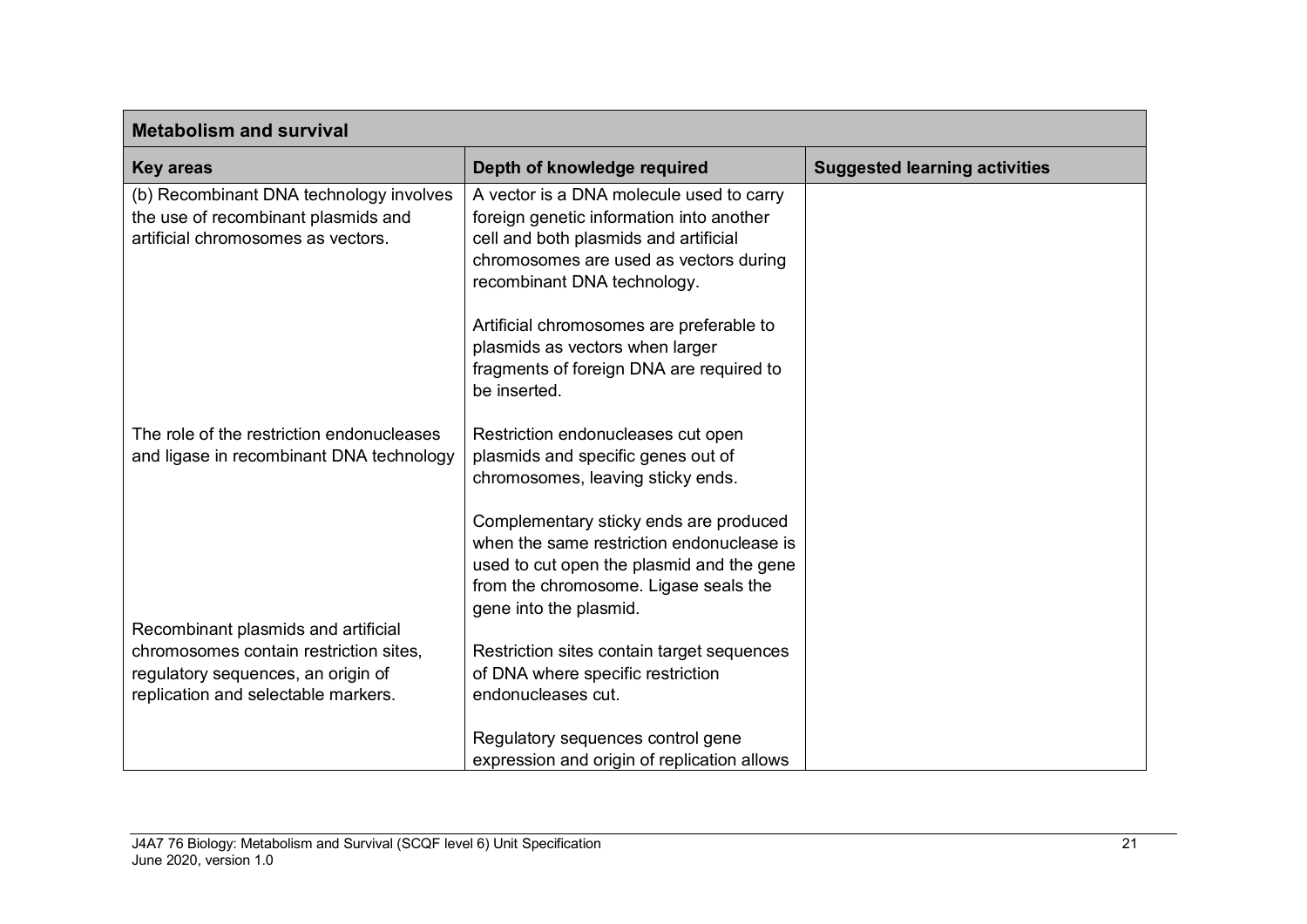| <b>Metabolism and survival</b>                                                                                       |                                                                                                                                                                                                        |                                      |  |  |
|----------------------------------------------------------------------------------------------------------------------|--------------------------------------------------------------------------------------------------------------------------------------------------------------------------------------------------------|--------------------------------------|--|--|
| <b>Key areas</b>                                                                                                     | Depth of knowledge required                                                                                                                                                                            | <b>Suggested learning activities</b> |  |  |
| (b) Recombinant DNA technology involves<br>the use of recombinant plasmids and<br>artificial chromosomes as vectors. | A vector is a DNA molecule used to carry<br>foreign genetic information into another<br>cell and both plasmids and artificial<br>chromosomes are used as vectors during<br>recombinant DNA technology. |                                      |  |  |
|                                                                                                                      | Artificial chromosomes are preferable to<br>plasmids as vectors when larger<br>fragments of foreign DNA are required to<br>be inserted.                                                                |                                      |  |  |
| The role of the restriction endonucleases<br>and ligase in recombinant DNA technology                                | Restriction endonucleases cut open<br>plasmids and specific genes out of<br>chromosomes, leaving sticky ends.                                                                                          |                                      |  |  |
|                                                                                                                      | Complementary sticky ends are produced<br>when the same restriction endonuclease is<br>used to cut open the plasmid and the gene<br>from the chromosome. Ligase seals the<br>gene into the plasmid.    |                                      |  |  |
| Recombinant plasmids and artificial                                                                                  |                                                                                                                                                                                                        |                                      |  |  |
| chromosomes contain restriction sites,<br>regulatory sequences, an origin of<br>replication and selectable markers.  | Restriction sites contain target sequences<br>of DNA where specific restriction<br>endonucleases cut.                                                                                                  |                                      |  |  |
|                                                                                                                      | Regulatory sequences control gene<br>expression and origin of replication allows                                                                                                                       |                                      |  |  |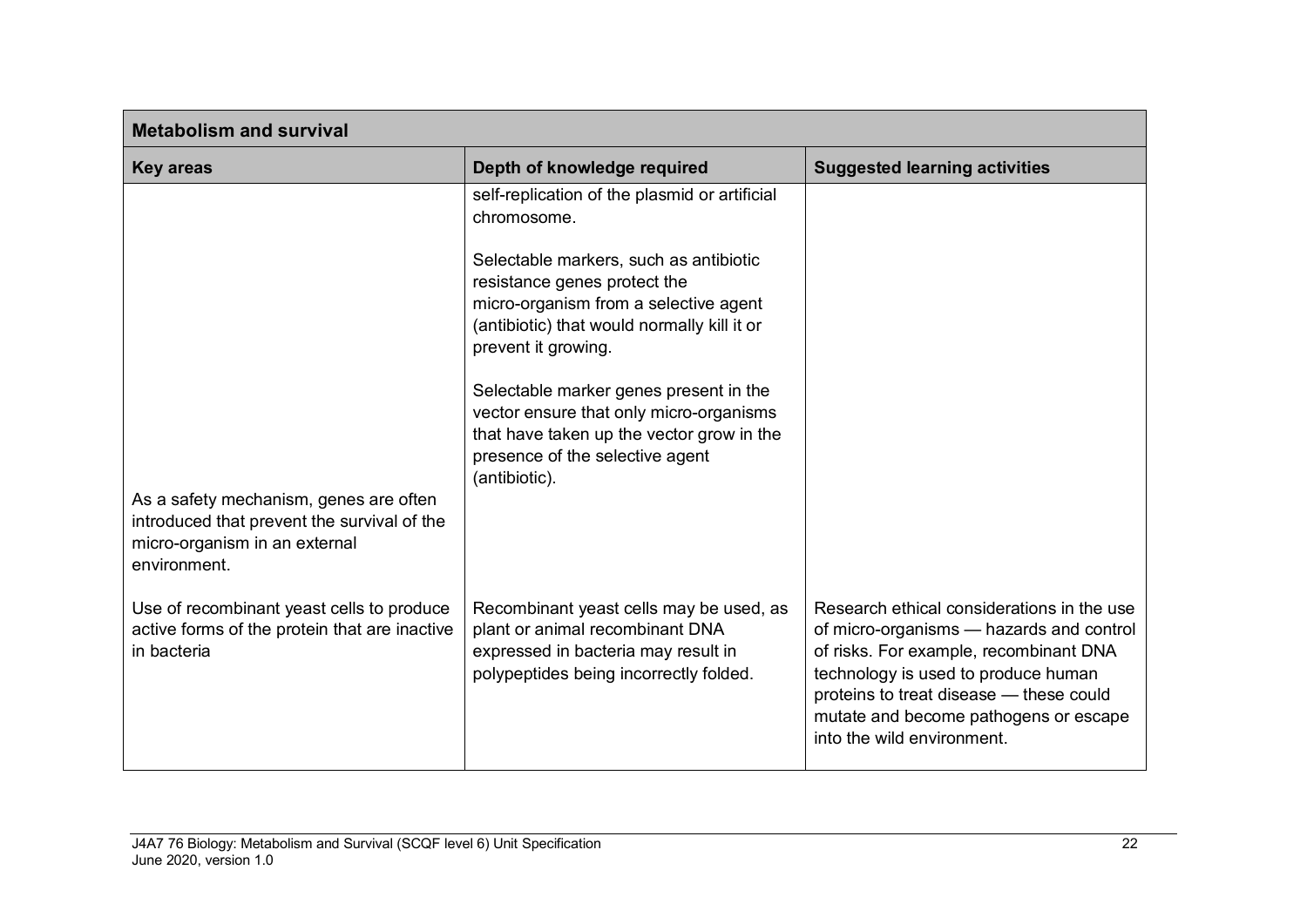| <b>Metabolism and survival</b>                                                                                                         |                                                                                                                                                                                                                                                                                                                                                                                                                                             |                                                                                                                                                                                                                                                                                           |  |  |
|----------------------------------------------------------------------------------------------------------------------------------------|---------------------------------------------------------------------------------------------------------------------------------------------------------------------------------------------------------------------------------------------------------------------------------------------------------------------------------------------------------------------------------------------------------------------------------------------|-------------------------------------------------------------------------------------------------------------------------------------------------------------------------------------------------------------------------------------------------------------------------------------------|--|--|
| <b>Key areas</b>                                                                                                                       | Depth of knowledge required                                                                                                                                                                                                                                                                                                                                                                                                                 | <b>Suggested learning activities</b>                                                                                                                                                                                                                                                      |  |  |
| As a safety mechanism, genes are often<br>introduced that prevent the survival of the<br>micro-organism in an external<br>environment. | self-replication of the plasmid or artificial<br>chromosome.<br>Selectable markers, such as antibiotic<br>resistance genes protect the<br>micro-organism from a selective agent<br>(antibiotic) that would normally kill it or<br>prevent it growing.<br>Selectable marker genes present in the<br>vector ensure that only micro-organisms<br>that have taken up the vector grow in the<br>presence of the selective agent<br>(antibiotic). |                                                                                                                                                                                                                                                                                           |  |  |
| Use of recombinant yeast cells to produce<br>active forms of the protein that are inactive<br>in bacteria                              | Recombinant yeast cells may be used, as<br>plant or animal recombinant DNA<br>expressed in bacteria may result in<br>polypeptides being incorrectly folded.                                                                                                                                                                                                                                                                                 | Research ethical considerations in the use<br>of micro-organisms - hazards and control<br>of risks. For example, recombinant DNA<br>technology is used to produce human<br>proteins to treat disease - these could<br>mutate and become pathogens or escape<br>into the wild environment. |  |  |